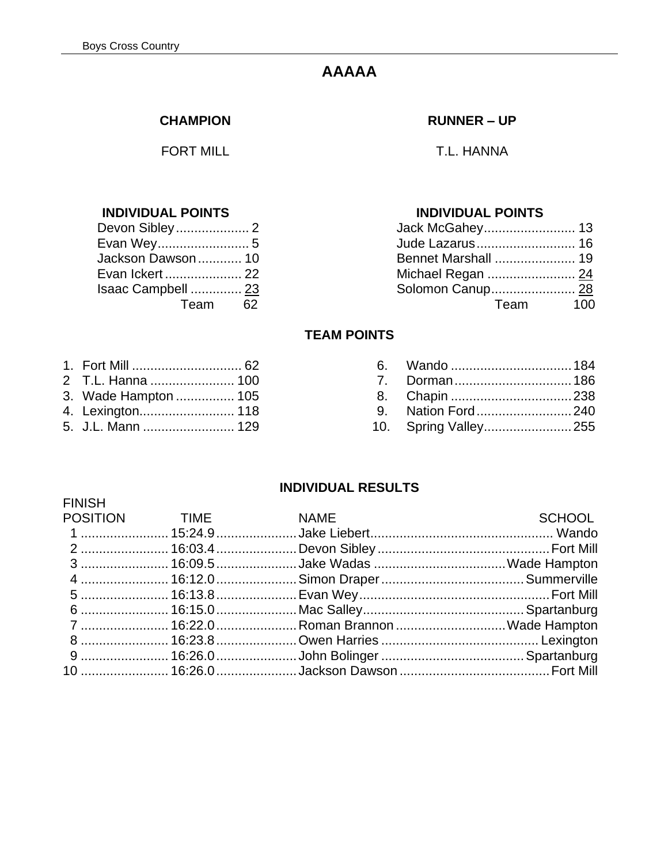FINISH

# **AAAAA**

## **CHAMPION**

FORT MILL

# **INDIVIDUAL POINTS INDIVIDUAL POINTS**

| Devon Sibley 2     |  |
|--------------------|--|
| Evan Wey 5         |  |
| Jackson Dawson 10  |  |
| Evan Ickert  22    |  |
| Isaac Campbell  23 |  |
| Team 62            |  |
|                    |  |

### **RUNNER – UP**

# T.L. HANNA

| Devon Sibley 2     |                     |  |
|--------------------|---------------------|--|
| Evan Wey 5         |                     |  |
| Jackson Dawson 10  | Bennet Marshall  19 |  |
| Evan Ickert  22    |                     |  |
| Isaac Campbell  23 |                     |  |
| Team 62            | Team 100            |  |

### **TEAM POINTS**

| 1. Fort Mill  62     |  |                   |  |
|----------------------|--|-------------------|--|
| 2 T.L. Hanna  100    |  |                   |  |
| 3. Wade Hampton  105 |  |                   |  |
| 4. Lexington 118     |  | 9. Nation Ford240 |  |
| 5. J.L. Mann  129    |  |                   |  |

|  | POSITION TIME NAME NEWSLESS SCHOOL                               |  |
|--|------------------------------------------------------------------|--|
|  |                                                                  |  |
|  |                                                                  |  |
|  |                                                                  |  |
|  |                                                                  |  |
|  | 5 …………………… 16:13.8 …………………… Evan Wey……………………………………………… Fort Mill |  |
|  |                                                                  |  |
|  | 7  16:22.0  Roman Brannon  Wade Hampton                          |  |
|  |                                                                  |  |
|  |                                                                  |  |
|  |                                                                  |  |
|  |                                                                  |  |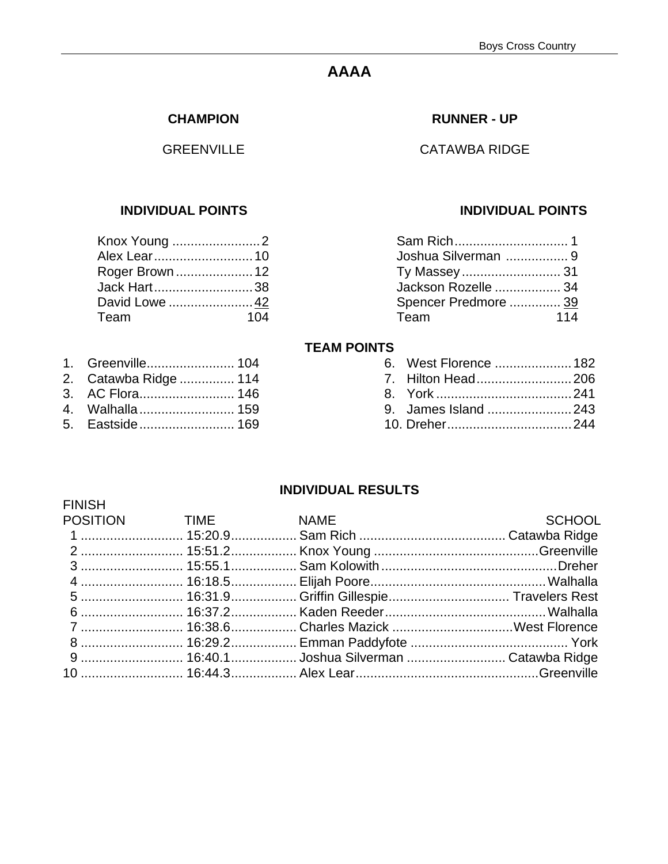# **AAAA**

## **CHAMPION**

### **GREENVILLE**

| Knox Young 2    |     |
|-----------------|-----|
| Alex Lear 10    |     |
| Roger Brown  12 |     |
| Jack Hart38     |     |
| David Lowe  42  |     |
| Team            | 104 |
|                 |     |

1. Greenville............................... 104 2. Catawba Ridge ................. 114 3. AC Flora.......................... 146 8. York .....................................241 4. Walhalla.......................... 159 9. James Island .......................243 5. Eastside.......................... 169 10. Dreher..................................244

### **RUNNER - UP**

### CATAWBA RIDGE

### **INDIVIDUAL POINTS INDIVIDUAL POINTS**

| Knox Young 2    |      |                                             |
|-----------------|------|---------------------------------------------|
| Alex Lear 10    |      |                                             |
| Roger Brown  12 |      |                                             |
| Jack Hart38     |      |                                             |
| David Lowe  42  |      |                                             |
| 104             | Team | 114                                         |
|                 |      | Jackson Rozelle  34<br>Spencer Predmore  39 |

### **TEAM POINTS**

| 6. West Florence  182 |  |
|-----------------------|--|
| 7. Hilton Head206     |  |
|                       |  |
| 9. James Island 243   |  |
|                       |  |
|                       |  |

| <b>FINISH</b> |                    |                                             |               |
|---------------|--------------------|---------------------------------------------|---------------|
|               | POSITION TIME NAME |                                             | <b>SCHOOL</b> |
|               |                    |                                             |               |
|               |                    |                                             |               |
|               |                    |                                             |               |
|               |                    |                                             |               |
|               |                    |                                             |               |
|               |                    |                                             |               |
|               |                    | 7  16:38.6 Charles Mazick West Florence     |               |
|               |                    |                                             |               |
|               |                    | 9  16:40.1  Joshua Silverman  Catawba Ridge |               |
|               |                    |                                             |               |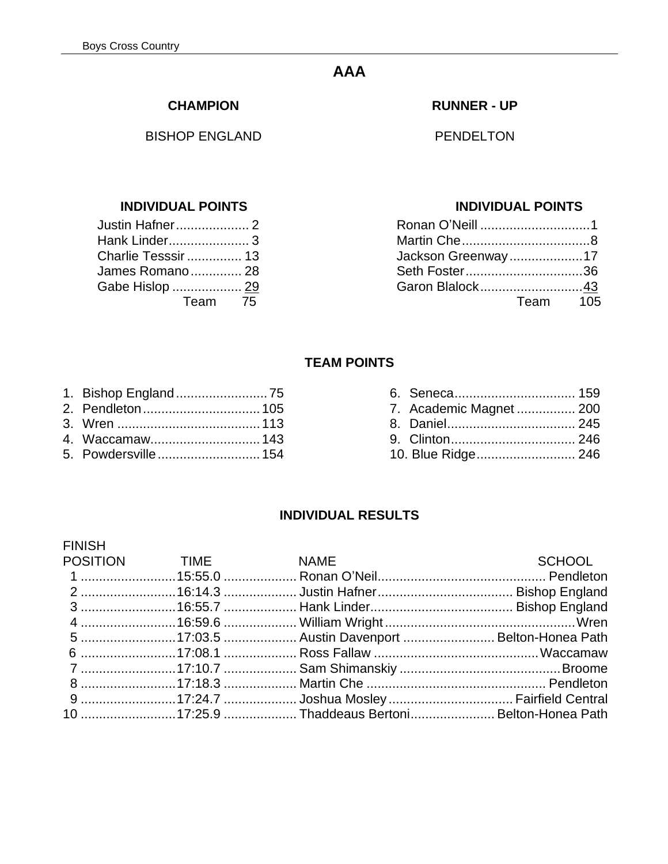# **AAA**

### **CHAMPION**

BISHOP ENGLAND

### **INDIVIDUAL POINTS INDIVIDUAL POINTS**

| Hank Linder 3       |  |
|---------------------|--|
| Charlie Tesssir  13 |  |
| James Romano  28    |  |
| Gabe Hislop  29     |  |
| Team 75             |  |

**RUNNER - UP**

**PENDELTON** 

| Charlie Tesssir  13 | Jackson Greenway17 |
|---------------------|--------------------|
| James Romano 28     | Seth Foster36      |
|                     | Garon Blalock43    |
| Team 75             | Team 105           |

## **TEAM POINTS**

- 1. Bishop England.........................75
- 2. Pendleton................................105
- 3. Wren .......................................113
- 4. Waccamaw..............................143 5. Powdersville............................154

 $\equiv$ 

| 6. Seneca 159     |     |
|-------------------|-----|
| 7 Acodemic Mognet | റററ |

- 7. Academic Magnet ................ 200 8. Daniel................................... 245
- 9. Clinton.................................. 246
- 10. Blue Ridge........................... 246

| FINISH |                    |                                                                 |        |
|--------|--------------------|-----------------------------------------------------------------|--------|
|        | POSITION TIME NAME |                                                                 | SCHOOL |
|        |                    |                                                                 |        |
|        |                    |                                                                 |        |
|        |                    |                                                                 |        |
|        |                    |                                                                 |        |
|        |                    | 5 17:03.5  Austin Davenport  Belton-Honea Path                  |        |
|        |                    | 6 ………………………17:08.1 ………………… Ross Fallaw ……………………………………… Waccamaw |        |
|        |                    |                                                                 |        |
|        |                    |                                                                 |        |
|        |                    | 9 17:24.7  Joshua Mosley  Fairfield Central                     |        |
|        |                    | 10 17:25.9  Thaddeaus Bertoni Belton-Honea Path                 |        |
|        |                    |                                                                 |        |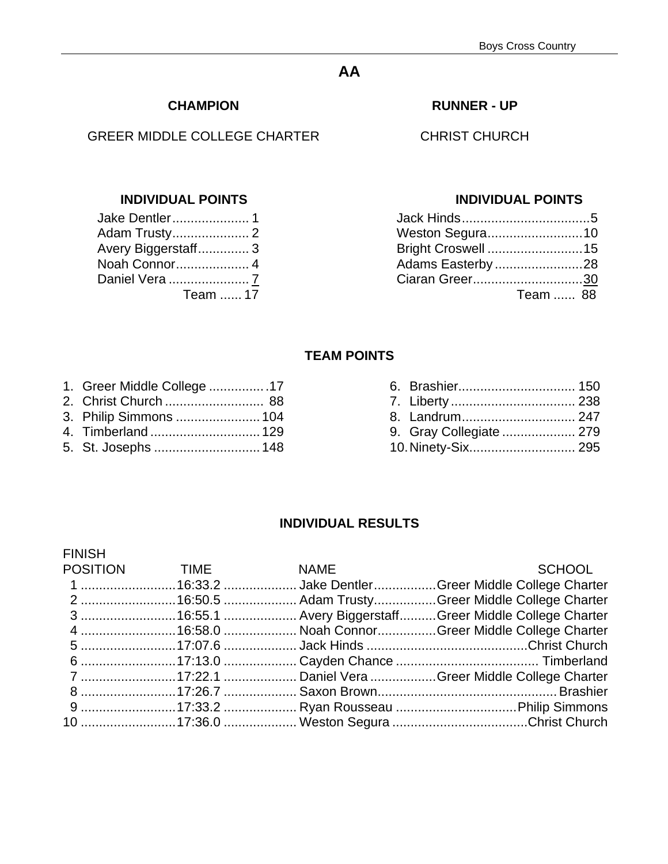# **AA**

### **CHAMPION**

### GREER MIDDLE COLLEGE CHARTER

| Jake Dentler 1     |  |
|--------------------|--|
| Adam Trusty 2      |  |
| Avery Biggerstaff3 |  |
| Noah Connor 4      |  |
| Daniel Vera  7     |  |
| Team  17           |  |

### **RUNNER - UP**

CHRIST CHURCH

### **INDIVIDUAL POINTS INDIVIDUAL POINTS**

|                    | Weston Segura10    |          |
|--------------------|--------------------|----------|
| Avery Biggerstaff3 | Bright Croswell 15 |          |
|                    | Adams Easterby28   |          |
|                    | Ciaran Greer30     |          |
| Team  17           |                    | Team  88 |

### **TEAM POINTS**

- 1. Greer Middle College ................17
- 2. Christ Church ........................... 88
- 3. Philip Simmons .......................104
- 4. Timberland ..............................129
- 5. St. Josephs .............................148

|  | 6. Brashier 150 |  |
|--|-----------------|--|
|--|-----------------|--|

- 7. Liberty .................................. 238
- 8. Landrum............................... 247
- 9. Gray Collegiate .................... 279
- 10.Ninety-Six............................. 295

| <b>FINISH</b> |               |      |                                                                  |
|---------------|---------------|------|------------------------------------------------------------------|
|               | POSITION TIME | NAME | <b>SCHOOL</b>                                                    |
|               |               |      | 116:33.2Jake DentlerGreer Middle College Charter                 |
|               |               |      | 2 16:50.5  Adam TrustyGreer Middle College Charter               |
|               |               |      | 3 16:55.1  Avery BiggerstaffGreer Middle College Charter         |
|               |               |      | 4 16:58.0  Noah ConnorGreer Middle College Charter               |
|               |               |      |                                                                  |
|               |               |      |                                                                  |
|               |               |      | 7 17:22.1  Daniel Vera Greer Middle College Charter              |
|               |               |      | 8 ………………………17:26.7 ………………… Saxon Brown…………………………………………… Brashier |
|               |               |      |                                                                  |
|               |               |      | 10 17:36.0  Weston Segura Christ Church                          |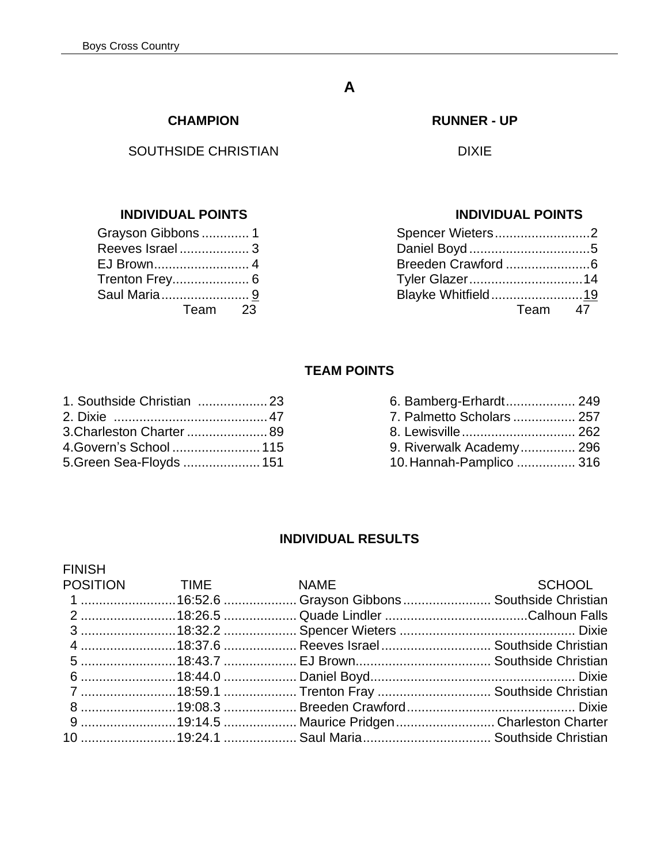**A**

## **CHAMPION**

# SOUTHSIDE CHRISTIAN

### **INDIVIDUAL POINTS INDIVIDUAL POINTS**

| Grayson Gibbons  1 |  |
|--------------------|--|
| Reeves Israel  3   |  |
| EJ Brown 4         |  |
| Trenton Frey 6     |  |
| Saul Maria 9       |  |
| Team 23            |  |

### **RUNNER - UP**

DIXIE

| Grayson Gibbons  1 | Spencer Wieters2   |  |
|--------------------|--------------------|--|
| Reeves Israel3     |                    |  |
| EJ Brown4          |                    |  |
|                    |                    |  |
|                    | Blayke Whitfield19 |  |
| Team 23            | Team 47            |  |

### **TEAM POINTS**

| 1. Southside Christian  23 |  |
|----------------------------|--|
|                            |  |
| 3. Charleston Charter  89  |  |
| 4.Govern's School  115     |  |
| 5.Green Sea-Floyds  151    |  |

| 6. Bamberg-Erhardt 249    |  |
|---------------------------|--|
| 7. Palmetto Scholars  257 |  |

- 8. Lewisville............................... 262
- 9. Riverwalk Academy............... 296
- 10.Hannah-Pamplico ................ 316

| <b>FINISH</b> |                    |                                                                   |        |
|---------------|--------------------|-------------------------------------------------------------------|--------|
|               | POSITION TIME NAME |                                                                   | SCHOOL |
|               |                    | 116:52.6  Grayson Gibbons  Southside Christian                    |        |
|               |                    | 2 18:26.5 Quade Lindler Calhoun Falls                             |        |
|               |                    |                                                                   |        |
|               |                    | 4 18:37.6 Reeves Israel  Southside Christian                      |        |
|               |                    |                                                                   |        |
|               |                    |                                                                   |        |
|               |                    | 7  18:59.1  Trenton Fray  Southside Christian                     |        |
|               |                    | 8 ……………………… 19:08.3 ………………… Breeden Crawford……………………………………… Dixie |        |
|               |                    | 9 19:14.5  Maurice Pridgen  Charleston Charter                    |        |
|               |                    |                                                                   |        |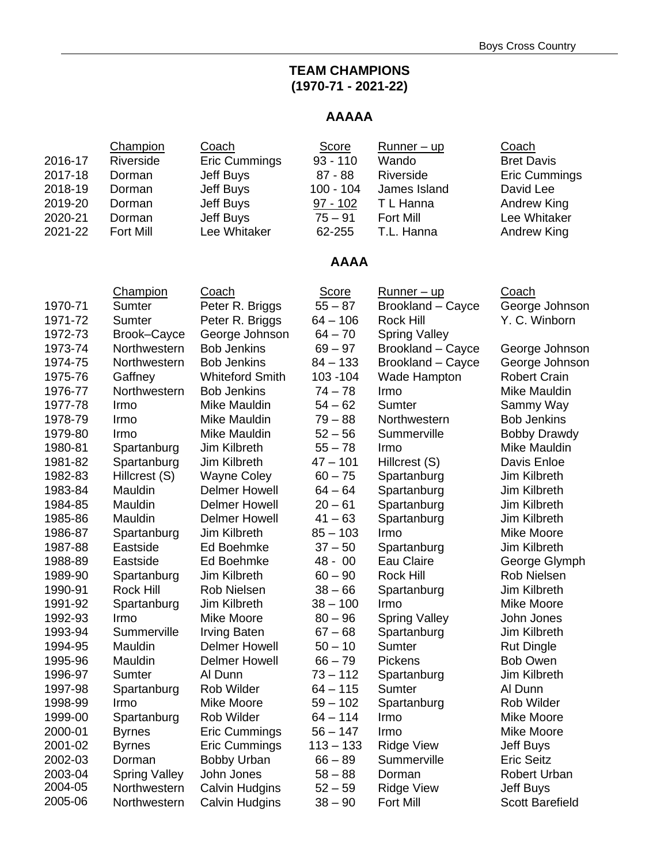# **TEAM CHAMPIONS (1970-71 - 2021-22)**

# **AAAAA**

|         | Champion  | Coach         | Score       | Runner – up  | Coach                |
|---------|-----------|---------------|-------------|--------------|----------------------|
| 2016-17 | Riverside | Eric Cummings | $93 - 110$  | Wando        | <b>Bret Davis</b>    |
| 2017-18 | Dorman    | Jeff Buys     | $87 - 88$   | Riverside    | <b>Eric Cummings</b> |
| 2018-19 | Dorman    | Jeff Buys     | $100 - 104$ | James Island | David Lee            |
| 2019-20 | Dorman    | Jeff Buys     | $97 - 102$  | T L Hanna    | Andrew King          |
| 2020-21 | Dorman    | Jeff Buys     | $75 - 91$   | Fort Mill    | Lee Whitaker         |
| 2021-22 | Fort Mill | Lee Whitaker  | 62-255      | T.L. Hanna   | Andrew King          |
|         |           |               |             |              |                      |

# **AAAA**

| 1970-71<br>Peter R. Briggs<br>$55 - 87$<br>George Johnson<br>Sumter<br>Brookland - Cayce<br>Sumter<br>$64 - 106$<br>Y. C. Winborn<br>1971-72<br>Peter R. Briggs<br><b>Rock Hill</b><br>George Johnson<br>$64 - 70$<br>1972-73<br>Brook-Cayce<br><b>Spring Valley</b><br>$69 - 97$<br>Brookland - Cayce<br>1973-74<br>Northwestern<br><b>Bob Jenkins</b><br>George Johnson<br>1974-75<br>Northwestern<br><b>Bob Jenkins</b><br>$84 - 133$<br>Brookland - Cayce<br>George Johnson<br>1975-76<br>Gaffney<br><b>Whiteford Smith</b><br>103 - 104<br>Wade Hampton<br><b>Robert Crain</b><br>1976-77<br>Northwestern<br><b>Bob Jenkins</b><br>$74 - 78$<br>Irmo<br>Mike Mauldin<br>Mike Mauldin<br>$54 - 62$<br>Sumter<br>Sammy Way<br>1977-78<br>Irmo<br>$79 - 88$<br>Northwestern<br>1978-79<br>Irmo<br><b>Mike Mauldin</b><br><b>Bob Jenkins</b><br>Irmo<br>Summerville<br>1979-80<br>Mike Mauldin<br>$52 - 56$<br><b>Bobby Drawdy</b><br>Jim Kilbreth<br>1980-81<br>Spartanburg<br>$55 - 78$<br>Irmo<br>Mike Mauldin<br>1981-82<br>Spartanburg<br>Jim Kilbreth<br>$47 - 101$<br>Hillcrest (S)<br>Davis Enloe<br>1982-83<br>Hillcrest (S)<br><b>Wayne Coley</b><br>$60 - 75$<br>Spartanburg<br><b>Jim Kilbreth</b><br>1983-84<br>Mauldin<br><b>Delmer Howell</b><br>$64 - 64$<br>Spartanburg<br><b>Jim Kilbreth</b><br>Mauldin<br><b>Delmer Howell</b><br>$20 - 61$<br>Spartanburg<br><b>Jim Kilbreth</b><br>1984-85<br>1985-86<br>Mauldin<br><b>Delmer Howell</b><br>$41 - 63$<br>Spartanburg<br>Jim Kilbreth<br>Spartanburg<br><b>Jim Kilbreth</b><br>Mike Moore<br>1986-87<br>$85 - 103$<br>Irmo<br>Eastside<br>Ed Boehmke<br>Jim Kilbreth<br>1987-88<br>$37 - 50$<br>Spartanburg<br>Eastside<br>Ed Boehmke<br>$48 - 00$<br>Eau Claire<br>George Glymph<br>1988-89<br>Jim Kilbreth<br>1989-90<br>Spartanburg<br>$60 - 90$<br><b>Rock Hill</b><br><b>Rob Nielsen</b><br>Jim Kilbreth<br>1990-91<br><b>Rock Hill</b><br><b>Rob Nielsen</b><br>$38 - 66$<br>Spartanburg<br>1991-92<br>Spartanburg<br>Jim Kilbreth<br>$38 - 100$<br>Irmo<br><b>Mike Moore</b><br>1992-93<br>Mike Moore<br>$80 - 96$<br><b>Spring Valley</b><br>John Jones<br>Irmo<br>1993-94<br>Summerville<br><b>Irving Baten</b><br>$67 - 68$<br>Jim Kilbreth<br>Spartanburg<br>1994-95<br>Mauldin<br><b>Delmer Howell</b><br>$50 - 10$<br>Sumter<br><b>Rut Dingle</b><br>1995-96<br>Mauldin<br><b>Delmer Howell</b><br>$66 - 79$<br>Pickens<br><b>Bob Owen</b><br>Jim Kilbreth<br>1996-97<br>Sumter<br>Al Dunn<br>$73 - 112$<br>Spartanburg<br>1997-98<br>Spartanburg<br>Rob Wilder<br>$64 - 115$<br>Sumter<br>Al Dunn<br>1998-99<br>Irmo<br>Mike Moore<br>$59 - 102$<br>Spartanburg<br>Rob Wilder<br>1999-00<br>Rob Wilder<br>$64 - 114$<br>Irmo<br><b>Mike Moore</b><br>Spartanburg<br>2000-01<br><b>Eric Cummings</b><br>$56 - 147$<br>Irmo<br><b>Mike Moore</b><br><b>Byrnes</b><br>2001-02<br><b>Eric Cummings</b><br>$113 - 133$<br><b>Ridge View</b><br><b>Byrnes</b><br>Jeff Buys<br>2002-03<br><b>Bobby Urban</b><br>$66 - 89$<br>Summerville<br><b>Eric Seitz</b><br>Dorman<br>2003-04<br><b>Spring Valley</b><br>John Jones<br>$58 - 88$<br>Robert Urban<br>Dorman<br>2004-05<br>Northwestern<br>Jeff Buys<br><b>Calvin Hudgins</b><br>$52 - 59$<br><b>Ridge View</b><br>2005-06<br>Northwestern<br><b>Calvin Hudgins</b><br>$38 - 90$<br><b>Fort Mill</b><br><b>Scott Barefield</b> | <b>Champion</b> | <b>Coach</b> | <b>Score</b> | <u>Runner – up</u> | <b>Coach</b> |
|----------------------------------------------------------------------------------------------------------------------------------------------------------------------------------------------------------------------------------------------------------------------------------------------------------------------------------------------------------------------------------------------------------------------------------------------------------------------------------------------------------------------------------------------------------------------------------------------------------------------------------------------------------------------------------------------------------------------------------------------------------------------------------------------------------------------------------------------------------------------------------------------------------------------------------------------------------------------------------------------------------------------------------------------------------------------------------------------------------------------------------------------------------------------------------------------------------------------------------------------------------------------------------------------------------------------------------------------------------------------------------------------------------------------------------------------------------------------------------------------------------------------------------------------------------------------------------------------------------------------------------------------------------------------------------------------------------------------------------------------------------------------------------------------------------------------------------------------------------------------------------------------------------------------------------------------------------------------------------------------------------------------------------------------------------------------------------------------------------------------------------------------------------------------------------------------------------------------------------------------------------------------------------------------------------------------------------------------------------------------------------------------------------------------------------------------------------------------------------------------------------------------------------------------------------------------------------------------------------------------------------------------------------------------------------------------------------------------------------------------------------------------------------------------------------------------------------------------------------------------------------------------------------------------------------------------------------------------------------------------------------------------------------------------------------------------------------------------------------------------------------------------------------------------------------------------------------------------------------------------------------------------------------------------------------------------------------------------------------------|-----------------|--------------|--------------|--------------------|--------------|
|                                                                                                                                                                                                                                                                                                                                                                                                                                                                                                                                                                                                                                                                                                                                                                                                                                                                                                                                                                                                                                                                                                                                                                                                                                                                                                                                                                                                                                                                                                                                                                                                                                                                                                                                                                                                                                                                                                                                                                                                                                                                                                                                                                                                                                                                                                                                                                                                                                                                                                                                                                                                                                                                                                                                                                                                                                                                                                                                                                                                                                                                                                                                                                                                                                                                                                                                                                |                 |              |              |                    |              |
|                                                                                                                                                                                                                                                                                                                                                                                                                                                                                                                                                                                                                                                                                                                                                                                                                                                                                                                                                                                                                                                                                                                                                                                                                                                                                                                                                                                                                                                                                                                                                                                                                                                                                                                                                                                                                                                                                                                                                                                                                                                                                                                                                                                                                                                                                                                                                                                                                                                                                                                                                                                                                                                                                                                                                                                                                                                                                                                                                                                                                                                                                                                                                                                                                                                                                                                                                                |                 |              |              |                    |              |
|                                                                                                                                                                                                                                                                                                                                                                                                                                                                                                                                                                                                                                                                                                                                                                                                                                                                                                                                                                                                                                                                                                                                                                                                                                                                                                                                                                                                                                                                                                                                                                                                                                                                                                                                                                                                                                                                                                                                                                                                                                                                                                                                                                                                                                                                                                                                                                                                                                                                                                                                                                                                                                                                                                                                                                                                                                                                                                                                                                                                                                                                                                                                                                                                                                                                                                                                                                |                 |              |              |                    |              |
|                                                                                                                                                                                                                                                                                                                                                                                                                                                                                                                                                                                                                                                                                                                                                                                                                                                                                                                                                                                                                                                                                                                                                                                                                                                                                                                                                                                                                                                                                                                                                                                                                                                                                                                                                                                                                                                                                                                                                                                                                                                                                                                                                                                                                                                                                                                                                                                                                                                                                                                                                                                                                                                                                                                                                                                                                                                                                                                                                                                                                                                                                                                                                                                                                                                                                                                                                                |                 |              |              |                    |              |
|                                                                                                                                                                                                                                                                                                                                                                                                                                                                                                                                                                                                                                                                                                                                                                                                                                                                                                                                                                                                                                                                                                                                                                                                                                                                                                                                                                                                                                                                                                                                                                                                                                                                                                                                                                                                                                                                                                                                                                                                                                                                                                                                                                                                                                                                                                                                                                                                                                                                                                                                                                                                                                                                                                                                                                                                                                                                                                                                                                                                                                                                                                                                                                                                                                                                                                                                                                |                 |              |              |                    |              |
|                                                                                                                                                                                                                                                                                                                                                                                                                                                                                                                                                                                                                                                                                                                                                                                                                                                                                                                                                                                                                                                                                                                                                                                                                                                                                                                                                                                                                                                                                                                                                                                                                                                                                                                                                                                                                                                                                                                                                                                                                                                                                                                                                                                                                                                                                                                                                                                                                                                                                                                                                                                                                                                                                                                                                                                                                                                                                                                                                                                                                                                                                                                                                                                                                                                                                                                                                                |                 |              |              |                    |              |
|                                                                                                                                                                                                                                                                                                                                                                                                                                                                                                                                                                                                                                                                                                                                                                                                                                                                                                                                                                                                                                                                                                                                                                                                                                                                                                                                                                                                                                                                                                                                                                                                                                                                                                                                                                                                                                                                                                                                                                                                                                                                                                                                                                                                                                                                                                                                                                                                                                                                                                                                                                                                                                                                                                                                                                                                                                                                                                                                                                                                                                                                                                                                                                                                                                                                                                                                                                |                 |              |              |                    |              |
|                                                                                                                                                                                                                                                                                                                                                                                                                                                                                                                                                                                                                                                                                                                                                                                                                                                                                                                                                                                                                                                                                                                                                                                                                                                                                                                                                                                                                                                                                                                                                                                                                                                                                                                                                                                                                                                                                                                                                                                                                                                                                                                                                                                                                                                                                                                                                                                                                                                                                                                                                                                                                                                                                                                                                                                                                                                                                                                                                                                                                                                                                                                                                                                                                                                                                                                                                                |                 |              |              |                    |              |
|                                                                                                                                                                                                                                                                                                                                                                                                                                                                                                                                                                                                                                                                                                                                                                                                                                                                                                                                                                                                                                                                                                                                                                                                                                                                                                                                                                                                                                                                                                                                                                                                                                                                                                                                                                                                                                                                                                                                                                                                                                                                                                                                                                                                                                                                                                                                                                                                                                                                                                                                                                                                                                                                                                                                                                                                                                                                                                                                                                                                                                                                                                                                                                                                                                                                                                                                                                |                 |              |              |                    |              |
|                                                                                                                                                                                                                                                                                                                                                                                                                                                                                                                                                                                                                                                                                                                                                                                                                                                                                                                                                                                                                                                                                                                                                                                                                                                                                                                                                                                                                                                                                                                                                                                                                                                                                                                                                                                                                                                                                                                                                                                                                                                                                                                                                                                                                                                                                                                                                                                                                                                                                                                                                                                                                                                                                                                                                                                                                                                                                                                                                                                                                                                                                                                                                                                                                                                                                                                                                                |                 |              |              |                    |              |
|                                                                                                                                                                                                                                                                                                                                                                                                                                                                                                                                                                                                                                                                                                                                                                                                                                                                                                                                                                                                                                                                                                                                                                                                                                                                                                                                                                                                                                                                                                                                                                                                                                                                                                                                                                                                                                                                                                                                                                                                                                                                                                                                                                                                                                                                                                                                                                                                                                                                                                                                                                                                                                                                                                                                                                                                                                                                                                                                                                                                                                                                                                                                                                                                                                                                                                                                                                |                 |              |              |                    |              |
|                                                                                                                                                                                                                                                                                                                                                                                                                                                                                                                                                                                                                                                                                                                                                                                                                                                                                                                                                                                                                                                                                                                                                                                                                                                                                                                                                                                                                                                                                                                                                                                                                                                                                                                                                                                                                                                                                                                                                                                                                                                                                                                                                                                                                                                                                                                                                                                                                                                                                                                                                                                                                                                                                                                                                                                                                                                                                                                                                                                                                                                                                                                                                                                                                                                                                                                                                                |                 |              |              |                    |              |
|                                                                                                                                                                                                                                                                                                                                                                                                                                                                                                                                                                                                                                                                                                                                                                                                                                                                                                                                                                                                                                                                                                                                                                                                                                                                                                                                                                                                                                                                                                                                                                                                                                                                                                                                                                                                                                                                                                                                                                                                                                                                                                                                                                                                                                                                                                                                                                                                                                                                                                                                                                                                                                                                                                                                                                                                                                                                                                                                                                                                                                                                                                                                                                                                                                                                                                                                                                |                 |              |              |                    |              |
|                                                                                                                                                                                                                                                                                                                                                                                                                                                                                                                                                                                                                                                                                                                                                                                                                                                                                                                                                                                                                                                                                                                                                                                                                                                                                                                                                                                                                                                                                                                                                                                                                                                                                                                                                                                                                                                                                                                                                                                                                                                                                                                                                                                                                                                                                                                                                                                                                                                                                                                                                                                                                                                                                                                                                                                                                                                                                                                                                                                                                                                                                                                                                                                                                                                                                                                                                                |                 |              |              |                    |              |
|                                                                                                                                                                                                                                                                                                                                                                                                                                                                                                                                                                                                                                                                                                                                                                                                                                                                                                                                                                                                                                                                                                                                                                                                                                                                                                                                                                                                                                                                                                                                                                                                                                                                                                                                                                                                                                                                                                                                                                                                                                                                                                                                                                                                                                                                                                                                                                                                                                                                                                                                                                                                                                                                                                                                                                                                                                                                                                                                                                                                                                                                                                                                                                                                                                                                                                                                                                |                 |              |              |                    |              |
|                                                                                                                                                                                                                                                                                                                                                                                                                                                                                                                                                                                                                                                                                                                                                                                                                                                                                                                                                                                                                                                                                                                                                                                                                                                                                                                                                                                                                                                                                                                                                                                                                                                                                                                                                                                                                                                                                                                                                                                                                                                                                                                                                                                                                                                                                                                                                                                                                                                                                                                                                                                                                                                                                                                                                                                                                                                                                                                                                                                                                                                                                                                                                                                                                                                                                                                                                                |                 |              |              |                    |              |
|                                                                                                                                                                                                                                                                                                                                                                                                                                                                                                                                                                                                                                                                                                                                                                                                                                                                                                                                                                                                                                                                                                                                                                                                                                                                                                                                                                                                                                                                                                                                                                                                                                                                                                                                                                                                                                                                                                                                                                                                                                                                                                                                                                                                                                                                                                                                                                                                                                                                                                                                                                                                                                                                                                                                                                                                                                                                                                                                                                                                                                                                                                                                                                                                                                                                                                                                                                |                 |              |              |                    |              |
|                                                                                                                                                                                                                                                                                                                                                                                                                                                                                                                                                                                                                                                                                                                                                                                                                                                                                                                                                                                                                                                                                                                                                                                                                                                                                                                                                                                                                                                                                                                                                                                                                                                                                                                                                                                                                                                                                                                                                                                                                                                                                                                                                                                                                                                                                                                                                                                                                                                                                                                                                                                                                                                                                                                                                                                                                                                                                                                                                                                                                                                                                                                                                                                                                                                                                                                                                                |                 |              |              |                    |              |
|                                                                                                                                                                                                                                                                                                                                                                                                                                                                                                                                                                                                                                                                                                                                                                                                                                                                                                                                                                                                                                                                                                                                                                                                                                                                                                                                                                                                                                                                                                                                                                                                                                                                                                                                                                                                                                                                                                                                                                                                                                                                                                                                                                                                                                                                                                                                                                                                                                                                                                                                                                                                                                                                                                                                                                                                                                                                                                                                                                                                                                                                                                                                                                                                                                                                                                                                                                |                 |              |              |                    |              |
|                                                                                                                                                                                                                                                                                                                                                                                                                                                                                                                                                                                                                                                                                                                                                                                                                                                                                                                                                                                                                                                                                                                                                                                                                                                                                                                                                                                                                                                                                                                                                                                                                                                                                                                                                                                                                                                                                                                                                                                                                                                                                                                                                                                                                                                                                                                                                                                                                                                                                                                                                                                                                                                                                                                                                                                                                                                                                                                                                                                                                                                                                                                                                                                                                                                                                                                                                                |                 |              |              |                    |              |
|                                                                                                                                                                                                                                                                                                                                                                                                                                                                                                                                                                                                                                                                                                                                                                                                                                                                                                                                                                                                                                                                                                                                                                                                                                                                                                                                                                                                                                                                                                                                                                                                                                                                                                                                                                                                                                                                                                                                                                                                                                                                                                                                                                                                                                                                                                                                                                                                                                                                                                                                                                                                                                                                                                                                                                                                                                                                                                                                                                                                                                                                                                                                                                                                                                                                                                                                                                |                 |              |              |                    |              |
|                                                                                                                                                                                                                                                                                                                                                                                                                                                                                                                                                                                                                                                                                                                                                                                                                                                                                                                                                                                                                                                                                                                                                                                                                                                                                                                                                                                                                                                                                                                                                                                                                                                                                                                                                                                                                                                                                                                                                                                                                                                                                                                                                                                                                                                                                                                                                                                                                                                                                                                                                                                                                                                                                                                                                                                                                                                                                                                                                                                                                                                                                                                                                                                                                                                                                                                                                                |                 |              |              |                    |              |
|                                                                                                                                                                                                                                                                                                                                                                                                                                                                                                                                                                                                                                                                                                                                                                                                                                                                                                                                                                                                                                                                                                                                                                                                                                                                                                                                                                                                                                                                                                                                                                                                                                                                                                                                                                                                                                                                                                                                                                                                                                                                                                                                                                                                                                                                                                                                                                                                                                                                                                                                                                                                                                                                                                                                                                                                                                                                                                                                                                                                                                                                                                                                                                                                                                                                                                                                                                |                 |              |              |                    |              |
|                                                                                                                                                                                                                                                                                                                                                                                                                                                                                                                                                                                                                                                                                                                                                                                                                                                                                                                                                                                                                                                                                                                                                                                                                                                                                                                                                                                                                                                                                                                                                                                                                                                                                                                                                                                                                                                                                                                                                                                                                                                                                                                                                                                                                                                                                                                                                                                                                                                                                                                                                                                                                                                                                                                                                                                                                                                                                                                                                                                                                                                                                                                                                                                                                                                                                                                                                                |                 |              |              |                    |              |
|                                                                                                                                                                                                                                                                                                                                                                                                                                                                                                                                                                                                                                                                                                                                                                                                                                                                                                                                                                                                                                                                                                                                                                                                                                                                                                                                                                                                                                                                                                                                                                                                                                                                                                                                                                                                                                                                                                                                                                                                                                                                                                                                                                                                                                                                                                                                                                                                                                                                                                                                                                                                                                                                                                                                                                                                                                                                                                                                                                                                                                                                                                                                                                                                                                                                                                                                                                |                 |              |              |                    |              |
|                                                                                                                                                                                                                                                                                                                                                                                                                                                                                                                                                                                                                                                                                                                                                                                                                                                                                                                                                                                                                                                                                                                                                                                                                                                                                                                                                                                                                                                                                                                                                                                                                                                                                                                                                                                                                                                                                                                                                                                                                                                                                                                                                                                                                                                                                                                                                                                                                                                                                                                                                                                                                                                                                                                                                                                                                                                                                                                                                                                                                                                                                                                                                                                                                                                                                                                                                                |                 |              |              |                    |              |
|                                                                                                                                                                                                                                                                                                                                                                                                                                                                                                                                                                                                                                                                                                                                                                                                                                                                                                                                                                                                                                                                                                                                                                                                                                                                                                                                                                                                                                                                                                                                                                                                                                                                                                                                                                                                                                                                                                                                                                                                                                                                                                                                                                                                                                                                                                                                                                                                                                                                                                                                                                                                                                                                                                                                                                                                                                                                                                                                                                                                                                                                                                                                                                                                                                                                                                                                                                |                 |              |              |                    |              |
|                                                                                                                                                                                                                                                                                                                                                                                                                                                                                                                                                                                                                                                                                                                                                                                                                                                                                                                                                                                                                                                                                                                                                                                                                                                                                                                                                                                                                                                                                                                                                                                                                                                                                                                                                                                                                                                                                                                                                                                                                                                                                                                                                                                                                                                                                                                                                                                                                                                                                                                                                                                                                                                                                                                                                                                                                                                                                                                                                                                                                                                                                                                                                                                                                                                                                                                                                                |                 |              |              |                    |              |
|                                                                                                                                                                                                                                                                                                                                                                                                                                                                                                                                                                                                                                                                                                                                                                                                                                                                                                                                                                                                                                                                                                                                                                                                                                                                                                                                                                                                                                                                                                                                                                                                                                                                                                                                                                                                                                                                                                                                                                                                                                                                                                                                                                                                                                                                                                                                                                                                                                                                                                                                                                                                                                                                                                                                                                                                                                                                                                                                                                                                                                                                                                                                                                                                                                                                                                                                                                |                 |              |              |                    |              |
|                                                                                                                                                                                                                                                                                                                                                                                                                                                                                                                                                                                                                                                                                                                                                                                                                                                                                                                                                                                                                                                                                                                                                                                                                                                                                                                                                                                                                                                                                                                                                                                                                                                                                                                                                                                                                                                                                                                                                                                                                                                                                                                                                                                                                                                                                                                                                                                                                                                                                                                                                                                                                                                                                                                                                                                                                                                                                                                                                                                                                                                                                                                                                                                                                                                                                                                                                                |                 |              |              |                    |              |
|                                                                                                                                                                                                                                                                                                                                                                                                                                                                                                                                                                                                                                                                                                                                                                                                                                                                                                                                                                                                                                                                                                                                                                                                                                                                                                                                                                                                                                                                                                                                                                                                                                                                                                                                                                                                                                                                                                                                                                                                                                                                                                                                                                                                                                                                                                                                                                                                                                                                                                                                                                                                                                                                                                                                                                                                                                                                                                                                                                                                                                                                                                                                                                                                                                                                                                                                                                |                 |              |              |                    |              |
|                                                                                                                                                                                                                                                                                                                                                                                                                                                                                                                                                                                                                                                                                                                                                                                                                                                                                                                                                                                                                                                                                                                                                                                                                                                                                                                                                                                                                                                                                                                                                                                                                                                                                                                                                                                                                                                                                                                                                                                                                                                                                                                                                                                                                                                                                                                                                                                                                                                                                                                                                                                                                                                                                                                                                                                                                                                                                                                                                                                                                                                                                                                                                                                                                                                                                                                                                                |                 |              |              |                    |              |
|                                                                                                                                                                                                                                                                                                                                                                                                                                                                                                                                                                                                                                                                                                                                                                                                                                                                                                                                                                                                                                                                                                                                                                                                                                                                                                                                                                                                                                                                                                                                                                                                                                                                                                                                                                                                                                                                                                                                                                                                                                                                                                                                                                                                                                                                                                                                                                                                                                                                                                                                                                                                                                                                                                                                                                                                                                                                                                                                                                                                                                                                                                                                                                                                                                                                                                                                                                |                 |              |              |                    |              |
|                                                                                                                                                                                                                                                                                                                                                                                                                                                                                                                                                                                                                                                                                                                                                                                                                                                                                                                                                                                                                                                                                                                                                                                                                                                                                                                                                                                                                                                                                                                                                                                                                                                                                                                                                                                                                                                                                                                                                                                                                                                                                                                                                                                                                                                                                                                                                                                                                                                                                                                                                                                                                                                                                                                                                                                                                                                                                                                                                                                                                                                                                                                                                                                                                                                                                                                                                                |                 |              |              |                    |              |
|                                                                                                                                                                                                                                                                                                                                                                                                                                                                                                                                                                                                                                                                                                                                                                                                                                                                                                                                                                                                                                                                                                                                                                                                                                                                                                                                                                                                                                                                                                                                                                                                                                                                                                                                                                                                                                                                                                                                                                                                                                                                                                                                                                                                                                                                                                                                                                                                                                                                                                                                                                                                                                                                                                                                                                                                                                                                                                                                                                                                                                                                                                                                                                                                                                                                                                                                                                |                 |              |              |                    |              |
|                                                                                                                                                                                                                                                                                                                                                                                                                                                                                                                                                                                                                                                                                                                                                                                                                                                                                                                                                                                                                                                                                                                                                                                                                                                                                                                                                                                                                                                                                                                                                                                                                                                                                                                                                                                                                                                                                                                                                                                                                                                                                                                                                                                                                                                                                                                                                                                                                                                                                                                                                                                                                                                                                                                                                                                                                                                                                                                                                                                                                                                                                                                                                                                                                                                                                                                                                                |                 |              |              |                    |              |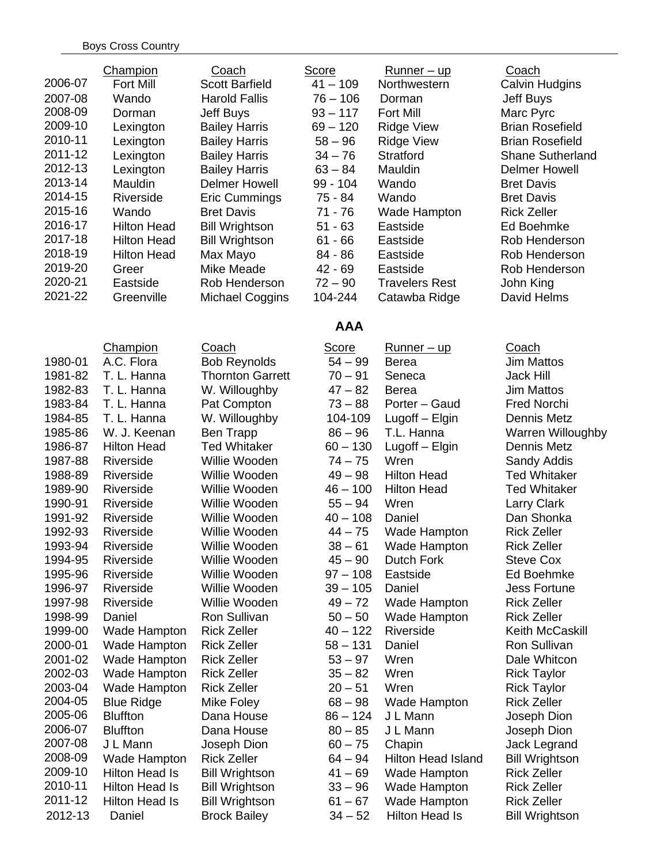|                    | Champion                     | Coach                                    | Score                   | Runner – up               | Coach                                 |
|--------------------|------------------------------|------------------------------------------|-------------------------|---------------------------|---------------------------------------|
| 2006-07            | <b>Fort Mill</b>             | <b>Scott Barfield</b>                    | $41 - 109$              | Northwestern              | <b>Calvin Hudgins</b>                 |
| 2007-08            | Wando                        | <b>Harold Fallis</b>                     | $76 - 106$              | Dorman                    | Jeff Buys                             |
| 2008-09            | Dorman                       | Jeff Buys                                | $93 - 117$              | <b>Fort Mill</b>          | Marc Pyrc                             |
| 2009-10            | Lexington                    | <b>Bailey Harris</b>                     | $69 - 120$              | <b>Ridge View</b>         | <b>Brian Rosefield</b>                |
| 2010-11            | Lexington                    | <b>Bailey Harris</b>                     | $58 - 96$               | <b>Ridge View</b>         | <b>Brian Rosefield</b>                |
| 2011-12            | Lexington                    | <b>Bailey Harris</b>                     | $34 - 76$               | <b>Stratford</b>          | <b>Shane Sutherland</b>               |
| 2012-13            | Lexington                    | <b>Bailey Harris</b>                     | $63 - 84$               | Mauldin                   | <b>Delmer Howell</b>                  |
| 2013-14            | Mauldin                      | <b>Delmer Howell</b>                     | 99 - 104                | Wando                     | <b>Bret Davis</b>                     |
| 2014-15            | Riverside                    | Eric Cummings                            | 75 - 84                 | Wando                     | <b>Bret Davis</b>                     |
| 2015-16            | Wando                        | <b>Bret Davis</b>                        | $71 - 76$               | Wade Hampton              | <b>Rick Zeller</b>                    |
| 2016-17            | <b>Hilton Head</b>           | <b>Bill Wrightson</b>                    | $51 - 63$               | Eastside                  | Ed Boehmke                            |
| 2017-18            | <b>Hilton Head</b>           | <b>Bill Wrightson</b>                    | $61 - 66$               | Eastside                  | Rob Henderson                         |
| 2018-19            | <b>Hilton Head</b>           | Max Mayo                                 | 84 - 86                 | Eastside                  | Rob Henderson                         |
| 2019-20            | Greer                        | Mike Meade                               | $42 - 69$               | Eastside                  | Rob Henderson                         |
| 2020-21            | Eastside                     | Rob Henderson                            | $72 - 90$               | <b>Travelers Rest</b>     | John King                             |
| 2021-22            | Greenville                   | Michael Coggins                          | 104-244                 | Catawba Ridge             | David Helms                           |
|                    |                              |                                          | <b>AAA</b>              |                           |                                       |
|                    | Champion                     | Coach                                    | Score                   | <u>Runner – up</u>        | Coach                                 |
| 1980-01            | A.C. Flora                   | <b>Bob Reynolds</b>                      | $54 - 99$               | <b>Berea</b>              | <b>Jim Mattos</b>                     |
| 1981-82            | T. L. Hanna                  | <b>Thornton Garrett</b>                  | $70 - 91$               | Seneca                    | <b>Jack Hill</b>                      |
| 1982-83            | T. L. Hanna                  | W. Willoughby                            | $47 - 82$               | <b>Berea</b>              | <b>Jim Mattos</b>                     |
| 1983-84            | T. L. Hanna                  | Pat Compton                              | $73 - 88$               | Porter - Gaud             | Fred Norchi                           |
| 1984-85            | T. L. Hanna                  | W. Willoughby                            | 104-109                 | Lugoff - Elgin            | Dennis Metz                           |
| 1985-86            | W. J. Keenan                 | <b>Ben Trapp</b>                         | $86 - 96$               | T.L. Hanna                | Warren Willoughby                     |
| 1986-87            | <b>Hilton Head</b>           | <b>Ted Whitaker</b>                      | $60 - 130$              | Lugoff - Elgin            | Dennis Metz                           |
| 1987-88            | Riverside                    | Willie Wooden                            | $74 - 75$               | Wren                      | Sandy Addis                           |
| 1988-89            | Riverside                    | Willie Wooden                            | $49 - 98$               | <b>Hilton Head</b>        | <b>Ted Whitaker</b>                   |
| 1989-90            | Riverside                    | Willie Wooden                            | $46 - 100$              | <b>Hilton Head</b>        | <b>Ted Whitaker</b>                   |
| 1990-91            | Riverside                    | Willie Wooden                            | $55 - 94$               | Wren                      | Larry Clark                           |
| 1991-92            | Riverside                    | Willie Wooden                            | $40 - 108$              | Daniel                    | Dan Shonka                            |
| 1992-93            | Riverside                    | Willie Wooden                            | $44 - 75$               | Wade Hampton              | <b>Rick Zeller</b>                    |
| 1993-94            | Riverside                    | Willie Wooden                            | $38 - 61$               | <b>Wade Hampton</b>       | <b>Rick Zeller</b>                    |
| 1994-95            | Riverside                    | Willie Wooden                            | $45 - 90$               | <b>Dutch Fork</b>         | <b>Steve Cox</b>                      |
| 1995-96            | Riverside                    | Willie Wooden                            | $97 - 108$              | Eastside                  | Ed Boehmke                            |
| 1996-97            | Riverside                    | Willie Wooden                            | $39 - 105$              | Daniel                    | <b>Jess Fortune</b>                   |
| 1997-98            | Riverside                    | Willie Wooden                            | $49 - 72$               | Wade Hampton              | <b>Rick Zeller</b>                    |
| 1998-99<br>1999-00 | Daniel                       | Ron Sullivan<br><b>Rick Zeller</b>       | $50 - 50$               | Wade Hampton              | <b>Rick Zeller</b><br>Keith McCaskill |
|                    | Wade Hampton                 |                                          | $40 - 122$              | Riverside                 | Ron Sullivan                          |
| 2000-01<br>2001-02 | Wade Hampton<br>Wade Hampton | <b>Rick Zeller</b><br><b>Rick Zeller</b> | $58 - 131$<br>$53 - 97$ | Daniel<br>Wren            | Dale Whitcon                          |
| 2002-03            | Wade Hampton                 | <b>Rick Zeller</b>                       | $35 - 82$               | Wren                      | <b>Rick Taylor</b>                    |
| 2003-04            | Wade Hampton                 | <b>Rick Zeller</b>                       | $20 - 51$               | Wren                      | <b>Rick Taylor</b>                    |
| 2004-05            | <b>Blue Ridge</b>            | Mike Foley                               | $68 - 98$               | Wade Hampton              | <b>Rick Zeller</b>                    |
| 2005-06            | <b>Bluffton</b>              | Dana House                               | $86 - 124$              | J L Mann                  | Joseph Dion                           |
| 2006-07            | <b>Bluffton</b>              | Dana House                               | $80 - 85$               | J L Mann                  | Joseph Dion                           |
| 2007-08            | J L Mann                     | Joseph Dion                              | $60 - 75$               | Chapin                    | Jack Legrand                          |
| 2008-09            | Wade Hampton                 | <b>Rick Zeller</b>                       | $64 - 94$               | <b>Hilton Head Island</b> | <b>Bill Wrightson</b>                 |
| 2009-10            | <b>Hilton Head Is</b>        | <b>Bill Wrightson</b>                    | $41 - 69$               | Wade Hampton              | <b>Rick Zeller</b>                    |
| 2010-11            | <b>Hilton Head Is</b>        | <b>Bill Wrightson</b>                    | $33 - 96$               | Wade Hampton              | <b>Rick Zeller</b>                    |
| 2011-12            | <b>Hilton Head Is</b>        | <b>Bill Wrightson</b>                    | $61 - 67$               | Wade Hampton              | <b>Rick Zeller</b>                    |
| 2012-13            | Daniel                       | <b>Brock Bailey</b>                      | $34 - 52$               | <b>Hilton Head Is</b>     | <b>Bill Wrightson</b>                 |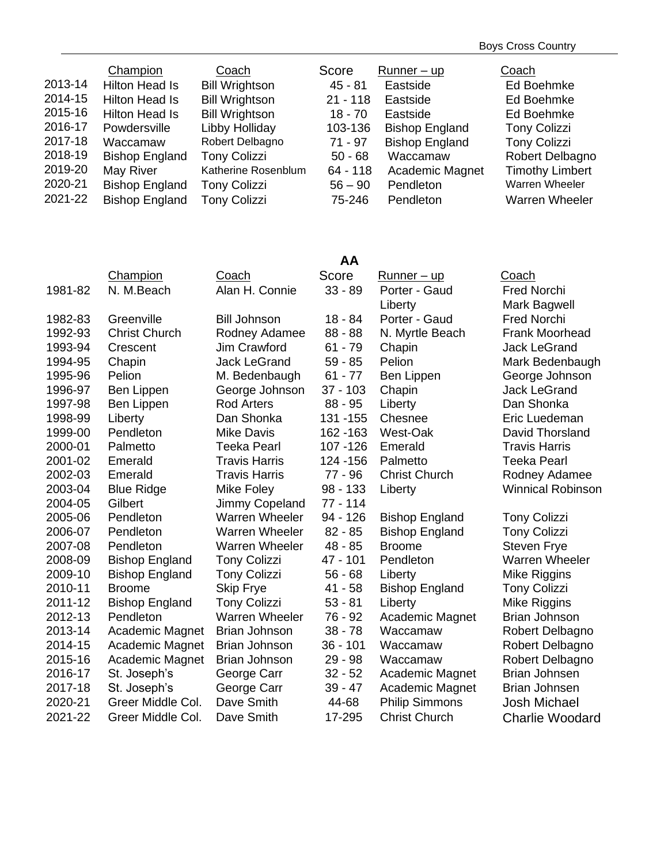Boys Cross Country

|         | Champion              | Coach                 | Score      | $Runner - up$         | Coach                  |
|---------|-----------------------|-----------------------|------------|-----------------------|------------------------|
| 2013-14 | <b>Hilton Head Is</b> | <b>Bill Wrightson</b> | $45 - 81$  | Eastside              | Ed Boehmke             |
| 2014-15 | <b>Hilton Head Is</b> | <b>Bill Wrightson</b> | $21 - 118$ | Eastside              | Ed Boehmke             |
| 2015-16 | <b>Hilton Head Is</b> | <b>Bill Wrightson</b> | $18 - 70$  | Eastside              | Ed Boehmke             |
| 2016-17 | Powdersville          | Libby Holliday        | 103-136    | <b>Bishop England</b> | <b>Tony Colizzi</b>    |
| 2017-18 | Waccamaw              | Robert Delbagno       | 71 - 97    | <b>Bishop England</b> | <b>Tony Colizzi</b>    |
| 2018-19 | <b>Bishop England</b> | <b>Tony Colizzi</b>   | $50 - 68$  | Waccamaw              | Robert Delbagno        |
| 2019-20 | May River             | Katherine Rosenblum   | $64 - 118$ | Academic Magnet       | <b>Timothy Limbert</b> |
| 2020-21 | <b>Bishop England</b> | <b>Tony Colizzi</b>   | $56 - 90$  | Pendleton             | Warren Wheeler         |
| 2021-22 | <b>Bishop England</b> | <b>Tony Colizzi</b>   | 75-246     | Pendleton             | <b>Warren Wheeler</b>  |
|         |                       |                       |            |                       |                        |

# **AA**

|         | Champion              | Coach                 | Score      | Runner – up           | Coach                    |
|---------|-----------------------|-----------------------|------------|-----------------------|--------------------------|
| 1981-82 | N. M.Beach            | Alan H. Connie        | $33 - 89$  | Porter - Gaud         | <b>Fred Norchi</b>       |
|         |                       |                       |            | Liberty               | Mark Bagwell             |
| 1982-83 | Greenville            | <b>Bill Johnson</b>   | $18 - 84$  | Porter - Gaud         | <b>Fred Norchi</b>       |
| 1992-93 | <b>Christ Church</b>  | Rodney Adamee         | $88 - 88$  | N. Myrtle Beach       | <b>Frank Moorhead</b>    |
| 1993-94 | Crescent              | Jim Crawford          | $61 - 79$  | Chapin                | <b>Jack LeGrand</b>      |
| 1994-95 | Chapin                | <b>Jack LeGrand</b>   | $59 - 85$  | Pelion                | Mark Bedenbaugh          |
| 1995-96 | Pelion                | M. Bedenbaugh         | $61 - 77$  | Ben Lippen            | George Johnson           |
| 1996-97 | Ben Lippen            | George Johnson        | $37 - 103$ | Chapin                | <b>Jack LeGrand</b>      |
| 1997-98 | Ben Lippen            | <b>Rod Arters</b>     | $88 - 95$  | Liberty               | Dan Shonka               |
| 1998-99 | Liberty               | Dan Shonka            | 131 - 155  | Chesnee               | Eric Luedeman            |
| 1999-00 | Pendleton             | <b>Mike Davis</b>     | 162 - 163  | West-Oak              | David Thorsland          |
| 2000-01 | Palmetto              | <b>Teeka Pearl</b>    | 107 - 126  | Emerald               | <b>Travis Harris</b>     |
| 2001-02 | Emerald               | <b>Travis Harris</b>  | 124 - 156  | Palmetto              | <b>Teeka Pearl</b>       |
| 2002-03 | Emerald               | <b>Travis Harris</b>  | $77 - 96$  | <b>Christ Church</b>  | Rodney Adamee            |
| 2003-04 | <b>Blue Ridge</b>     | Mike Foley            | 98 - 133   | Liberty               | <b>Winnical Robinson</b> |
| 2004-05 | Gilbert               | Jimmy Copeland        | 77 - 114   |                       |                          |
| 2005-06 | Pendleton             | <b>Warren Wheeler</b> | 94 - 126   | <b>Bishop England</b> | <b>Tony Colizzi</b>      |
| 2006-07 | Pendleton             | <b>Warren Wheeler</b> | $82 - 85$  | <b>Bishop England</b> | <b>Tony Colizzi</b>      |
| 2007-08 | Pendleton             | <b>Warren Wheeler</b> | 48 - 85    | <b>Broome</b>         | <b>Steven Frye</b>       |
| 2008-09 | <b>Bishop England</b> | <b>Tony Colizzi</b>   | $47 - 101$ | Pendleton             | <b>Warren Wheeler</b>    |
| 2009-10 | <b>Bishop England</b> | <b>Tony Colizzi</b>   | $56 - 68$  | Liberty               | Mike Riggins             |
| 2010-11 | <b>Broome</b>         | <b>Skip Frye</b>      | $41 - 58$  | <b>Bishop England</b> | <b>Tony Colizzi</b>      |
| 2011-12 | <b>Bishop England</b> | <b>Tony Colizzi</b>   | $53 - 81$  | Liberty               | Mike Riggins             |
| 2012-13 | Pendleton             | <b>Warren Wheeler</b> | $76 - 92$  | Academic Magnet       | Brian Johnson            |
| 2013-14 | Academic Magnet       | <b>Brian Johnson</b>  | $38 - 78$  | Waccamaw              | Robert Delbagno          |
| 2014-15 | Academic Magnet       | <b>Brian Johnson</b>  | $36 - 101$ | Waccamaw              | Robert Delbagno          |
| 2015-16 | Academic Magnet       | <b>Brian Johnson</b>  | $29 - 98$  | Waccamaw              | Robert Delbagno          |
| 2016-17 | St. Joseph's          | George Carr           | $32 - 52$  | Academic Magnet       | <b>Brian Johnsen</b>     |
| 2017-18 | St. Joseph's          | George Carr           | $39 - 47$  | Academic Magnet       | Brian Johnsen            |
| 2020-21 | Greer Middle Col.     | Dave Smith            | 44-68      | <b>Philip Simmons</b> | <b>Josh Michael</b>      |
| 2021-22 | Greer Middle Col.     | Dave Smith            | 17-295     | <b>Christ Church</b>  | <b>Charlie Woodard</b>   |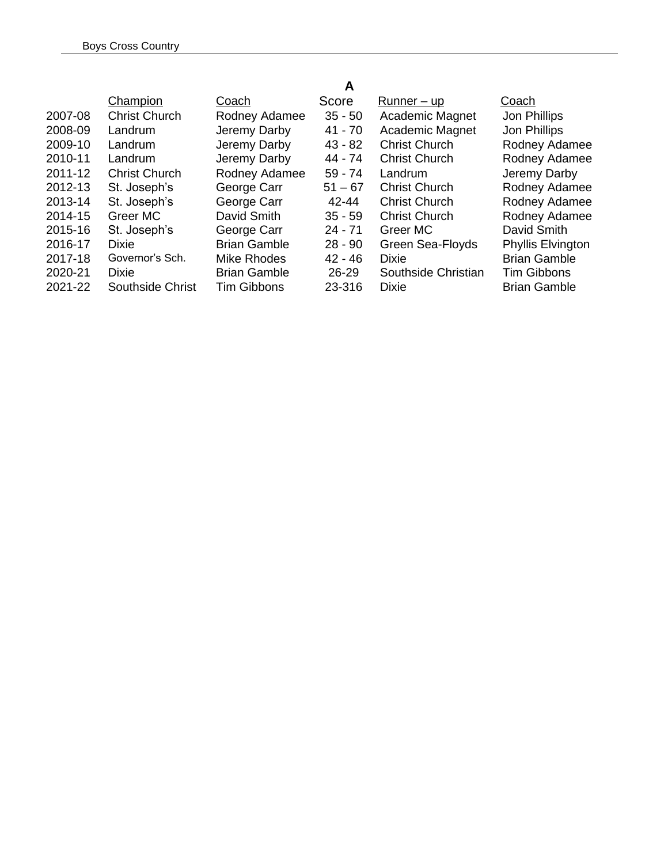|         |                      |                     | A         |                      |                     |
|---------|----------------------|---------------------|-----------|----------------------|---------------------|
|         | Champion             | Coach               | Score     | Runner – up          | Coach               |
| 2007-08 | <b>Christ Church</b> | Rodney Adamee       | $35 - 50$ | Academic Magnet      | Jon Phillips        |
| 2008-09 | Landrum              | Jeremy Darby        | 41 - 70   | Academic Magnet      | Jon Phillips        |
| 2009-10 | Landrum              | Jeremy Darby        | $43 - 82$ | <b>Christ Church</b> | Rodney Adamee       |
| 2010-11 | Landrum              | Jeremy Darby        | $44 - 74$ | <b>Christ Church</b> | Rodney Adamee       |
| 2011-12 | <b>Christ Church</b> | Rodney Adamee       | $59 - 74$ | Landrum              | Jeremy Darby        |
| 2012-13 | St. Joseph's         | George Carr         | $51 - 67$ | <b>Christ Church</b> | Rodney Adamee       |
| 2013-14 | St. Joseph's         | George Carr         | 42-44     | <b>Christ Church</b> | Rodney Adamee       |
| 2014-15 | Greer MC             | David Smith         | $35 - 59$ | <b>Christ Church</b> | Rodney Adamee       |
| 2015-16 | St. Joseph's         | George Carr         | $24 - 71$ | Greer MC             | David Smith         |
| 2016-17 | <b>Dixie</b>         | <b>Brian Gamble</b> | $28 - 90$ | Green Sea-Floyds     | Phyllis Elvington   |
| 2017-18 | Governor's Sch.      | Mike Rhodes         | $42 - 46$ | <b>Dixie</b>         | <b>Brian Gamble</b> |
| 2020-21 | <b>Dixie</b>         | <b>Brian Gamble</b> | 26-29     | Southside Christian  | <b>Tim Gibbons</b>  |
| 2021-22 | Southside Christ     | <b>Tim Gibbons</b>  | 23-316    | <b>Dixie</b>         | <b>Brian Gamble</b> |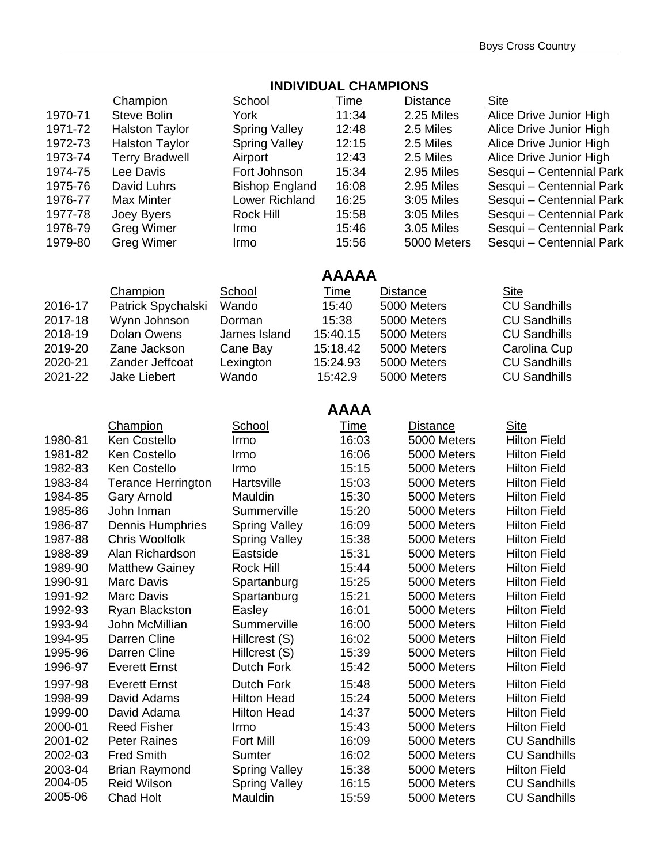|         |                           |                       | <b>INDIVIDUAL CHAMPIONS</b> |                 |                          |
|---------|---------------------------|-----------------------|-----------------------------|-----------------|--------------------------|
|         | Champion                  | School                | Time                        | <b>Distance</b> | <b>Site</b>              |
| 1970-71 | <b>Steve Bolin</b>        | York                  | 11:34                       | 2.25 Miles      | Alice Drive Junior High  |
| 1971-72 | <b>Halston Taylor</b>     | <b>Spring Valley</b>  | 12:48                       | 2.5 Miles       | Alice Drive Junior High  |
| 1972-73 | <b>Halston Taylor</b>     | <b>Spring Valley</b>  | 12:15                       | 2.5 Miles       | Alice Drive Junior High  |
| 1973-74 | <b>Terry Bradwell</b>     | Airport               | 12:43                       | 2.5 Miles       | Alice Drive Junior High  |
| 1974-75 | Lee Davis                 | Fort Johnson          | 15:34                       | 2.95 Miles      | Sesqui - Centennial Park |
| 1975-76 | David Luhrs               | <b>Bishop England</b> | 16:08                       | 2.95 Miles      | Sesqui - Centennial Park |
| 1976-77 | <b>Max Minter</b>         | Lower Richland        | 16:25                       | 3:05 Miles      | Sesqui - Centennial Park |
| 1977-78 | Joey Byers                | <b>Rock Hill</b>      | 15:58                       | 3:05 Miles      | Sesqui - Centennial Park |
| 1978-79 | <b>Greg Wimer</b>         | Irmo                  | 15:46                       | 3.05 Miles      | Sesqui - Centennial Park |
| 1979-80 | <b>Greg Wimer</b>         | Irmo                  | 15:56                       | 5000 Meters     | Sesqui - Centennial Park |
|         |                           |                       | <b>AAAAA</b>                |                 |                          |
|         | Champion                  | School                | <u>Time</u>                 | <b>Distance</b> | <b>Site</b>              |
| 2016-17 | Patrick Spychalski        | Wando                 | 15:40                       | 5000 Meters     | <b>CU Sandhills</b>      |
| 2017-18 | Wynn Johnson              | Dorman                | 15:38                       | 5000 Meters     | <b>CU Sandhills</b>      |
| 2018-19 | Dolan Owens               | James Island          | 15:40.15                    | 5000 Meters     | <b>CU Sandhills</b>      |
| 2019-20 | Zane Jackson              | Cane Bay              | 15:18.42                    | 5000 Meters     | Carolina Cup             |
| 2020-21 | Zander Jeffcoat           | Lexington             | 15:24.93                    | 5000 Meters     | <b>CU Sandhills</b>      |
| 2021-22 | Jake Liebert              | Wando                 | 15:42.9                     | 5000 Meters     | <b>CU Sandhills</b>      |
|         |                           |                       | <b>AAAA</b>                 |                 |                          |
|         | Champion                  | School                | <u>Time</u>                 | <b>Distance</b> | <b>Site</b>              |
| 1980-81 | Ken Costello              | Irmo                  | 16:03                       | 5000 Meters     | <b>Hilton Field</b>      |
| 1981-82 | Ken Costello              | Irmo                  | 16:06                       | 5000 Meters     | <b>Hilton Field</b>      |
| 1982-83 | Ken Costello              | Irmo                  | 15:15                       | 5000 Meters     | <b>Hilton Field</b>      |
| 1983-84 | <b>Terance Herrington</b> | Hartsville            | 15:03                       | 5000 Meters     | <b>Hilton Field</b>      |
| 1984-85 | <b>Gary Arnold</b>        | Mauldin               | 15:30                       | 5000 Meters     | <b>Hilton Field</b>      |
| 1985-86 | John Inman                | Summerville           | 15:20                       | 5000 Meters     | <b>Hilton Field</b>      |
| 1986-87 | <b>Dennis Humphries</b>   | <b>Spring Valley</b>  | 16:09                       | 5000 Meters     | <b>Hilton Field</b>      |
| 1987-88 | <b>Chris Woolfolk</b>     | <b>Spring Valley</b>  | 15:38                       | 5000 Meters     | <b>Hilton Field</b>      |
| 1988-89 | Alan Richardson           | Eastside              | 15:31                       | 5000 Meters     | <b>Hilton Field</b>      |
| 1989-90 | <b>Matthew Gainey</b>     | Rock Hill             | 15:44                       | 5000 Meters     | <b>Hilton Field</b>      |
| 1990-91 | Marc Davis                | Spartanburg           | 15:25                       | 5000 Meters     | <b>Hilton Field</b>      |
| 1991-92 | Marc Davis                | Spartanburg           | 15:21                       | 5000 Meters     | <b>Hilton Field</b>      |
| 1992-93 | Ryan Blackston            | Easley                | 16:01                       | 5000 Meters     | <b>Hilton Field</b>      |
| 1993-94 | John McMillian            | Summerville           | 16:00                       | 5000 Meters     | <b>Hilton Field</b>      |
| 1994-95 | Darren Cline              | Hillcrest (S)         | 16:02                       | 5000 Meters     | <b>Hilton Field</b>      |
| 1995-96 | Darren Cline              | Hillcrest (S)         | 15:39                       | 5000 Meters     | <b>Hilton Field</b>      |
| 1996-97 | <b>Everett Ernst</b>      | Dutch Fork            | 15:42                       | 5000 Meters     | <b>Hilton Field</b>      |
| 1997-98 | <b>Everett Ernst</b>      | <b>Dutch Fork</b>     | 15:48                       | 5000 Meters     | <b>Hilton Field</b>      |
| 1998-99 | David Adams               | <b>Hilton Head</b>    | 15:24                       | 5000 Meters     | <b>Hilton Field</b>      |
| 1999-00 | David Adama               | <b>Hilton Head</b>    | 14:37                       | 5000 Meters     | <b>Hilton Field</b>      |
| 2000-01 | <b>Reed Fisher</b>        | Irmo                  | 15:43                       | 5000 Meters     | <b>Hilton Field</b>      |
| 2001-02 | <b>Peter Raines</b>       | <b>Fort Mill</b>      | 16:09                       | 5000 Meters     | <b>CU Sandhills</b>      |
| 2002-03 | <b>Fred Smith</b>         | Sumter                | 16:02                       | 5000 Meters     | <b>CU Sandhills</b>      |
| 2003-04 | <b>Brian Raymond</b>      | <b>Spring Valley</b>  | 15:38                       | 5000 Meters     | <b>Hilton Field</b>      |
| 2004-05 | <b>Reid Wilson</b>        | <b>Spring Valley</b>  | 16:15                       | 5000 Meters     | <b>CU Sandhills</b>      |
| 2005-06 | Chad Holt                 | Mauldin               | 15:59                       | 5000 Meters     | <b>CU Sandhills</b>      |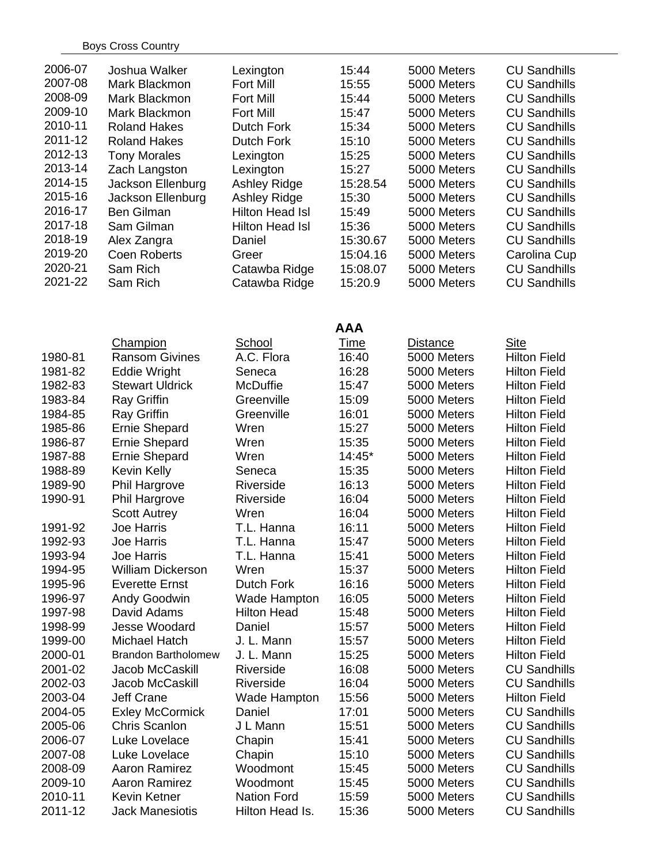## Boys Cross Country

| 2006-07<br>2007-08<br>2008-09<br>2009-10<br>2010-11<br>2011-12<br>2012-13<br>2013-14<br>2014-15<br>2015-16<br>2016-17<br>2017-18<br>2018-19<br>2019-20<br>2020-21<br>2021-22 | Joshua Walker<br>Mark Blackmon<br>Mark Blackmon<br>Mark Blackmon<br><b>Roland Hakes</b><br><b>Roland Hakes</b><br><b>Tony Morales</b><br>Zach Langston<br>Jackson Ellenburg<br>Jackson Ellenburg<br><b>Ben Gilman</b><br>Sam Gilman<br>Alex Zangra<br><b>Coen Roberts</b><br>Sam Rich<br>Sam Rich | Lexington<br><b>Fort Mill</b><br><b>Fort Mill</b><br><b>Fort Mill</b><br>Dutch Fork<br>Dutch Fork<br>Lexington<br>Lexington<br><b>Ashley Ridge</b><br><b>Ashley Ridge</b><br><b>Hilton Head Isl</b><br><b>Hilton Head Isl</b><br>Daniel<br>Greer<br>Catawba Ridge<br>Catawba Ridge | 15:44<br>15:55<br>15:44<br>15:47<br>15:34<br>15:10<br>15:25<br>15:27<br>15:28.54<br>15:30<br>15:49<br>15:36<br>15:30.67<br>15:04.16<br>15:08.07<br>15:20.9 | 5000 Meters<br>5000 Meters<br>5000 Meters<br>5000 Meters<br>5000 Meters<br>5000 Meters<br>5000 Meters<br>5000 Meters<br>5000 Meters<br>5000 Meters<br>5000 Meters<br>5000 Meters<br>5000 Meters<br>5000 Meters<br>5000 Meters<br>5000 Meters | <b>CU Sandhills</b><br><b>CU Sandhills</b><br><b>CU Sandhills</b><br><b>CU Sandhills</b><br><b>CU Sandhills</b><br><b>CU Sandhills</b><br><b>CU Sandhills</b><br><b>CU Sandhills</b><br><b>CU Sandhills</b><br><b>CU Sandhills</b><br><b>CU Sandhills</b><br><b>CU Sandhills</b><br><b>CU Sandhills</b><br>Carolina Cup<br><b>CU Sandhills</b><br><b>CU Sandhills</b> |
|------------------------------------------------------------------------------------------------------------------------------------------------------------------------------|---------------------------------------------------------------------------------------------------------------------------------------------------------------------------------------------------------------------------------------------------------------------------------------------------|------------------------------------------------------------------------------------------------------------------------------------------------------------------------------------------------------------------------------------------------------------------------------------|------------------------------------------------------------------------------------------------------------------------------------------------------------|----------------------------------------------------------------------------------------------------------------------------------------------------------------------------------------------------------------------------------------------|-----------------------------------------------------------------------------------------------------------------------------------------------------------------------------------------------------------------------------------------------------------------------------------------------------------------------------------------------------------------------|
|                                                                                                                                                                              |                                                                                                                                                                                                                                                                                                   |                                                                                                                                                                                                                                                                                    | <b>AAA</b>                                                                                                                                                 |                                                                                                                                                                                                                                              |                                                                                                                                                                                                                                                                                                                                                                       |
|                                                                                                                                                                              | Champion                                                                                                                                                                                                                                                                                          | School                                                                                                                                                                                                                                                                             | Time                                                                                                                                                       | <b>Distance</b>                                                                                                                                                                                                                              | <b>Site</b>                                                                                                                                                                                                                                                                                                                                                           |
| 1980-81                                                                                                                                                                      | <b>Ransom Givines</b>                                                                                                                                                                                                                                                                             | A.C. Flora                                                                                                                                                                                                                                                                         | 16:40                                                                                                                                                      | 5000 Meters                                                                                                                                                                                                                                  | <b>Hilton Field</b>                                                                                                                                                                                                                                                                                                                                                   |
| 1981-82                                                                                                                                                                      | <b>Eddie Wright</b>                                                                                                                                                                                                                                                                               | Seneca                                                                                                                                                                                                                                                                             | 16:28                                                                                                                                                      | 5000 Meters                                                                                                                                                                                                                                  | <b>Hilton Field</b>                                                                                                                                                                                                                                                                                                                                                   |
| 1982-83                                                                                                                                                                      | <b>Stewart Uldrick</b>                                                                                                                                                                                                                                                                            | <b>McDuffie</b>                                                                                                                                                                                                                                                                    | 15:47                                                                                                                                                      | 5000 Meters                                                                                                                                                                                                                                  | <b>Hilton Field</b>                                                                                                                                                                                                                                                                                                                                                   |
| 1983-84                                                                                                                                                                      | <b>Ray Griffin</b>                                                                                                                                                                                                                                                                                | Greenville                                                                                                                                                                                                                                                                         | 15:09                                                                                                                                                      | 5000 Meters                                                                                                                                                                                                                                  | <b>Hilton Field</b>                                                                                                                                                                                                                                                                                                                                                   |
| 1984-85                                                                                                                                                                      | <b>Ray Griffin</b>                                                                                                                                                                                                                                                                                | Greenville                                                                                                                                                                                                                                                                         | 16:01                                                                                                                                                      | 5000 Meters                                                                                                                                                                                                                                  | <b>Hilton Field</b>                                                                                                                                                                                                                                                                                                                                                   |
| 1985-86                                                                                                                                                                      | <b>Ernie Shepard</b>                                                                                                                                                                                                                                                                              | Wren                                                                                                                                                                                                                                                                               | 15:27                                                                                                                                                      | 5000 Meters                                                                                                                                                                                                                                  | <b>Hilton Field</b>                                                                                                                                                                                                                                                                                                                                                   |
| 1986-87                                                                                                                                                                      | <b>Ernie Shepard</b>                                                                                                                                                                                                                                                                              | Wren                                                                                                                                                                                                                                                                               | 15:35                                                                                                                                                      | 5000 Meters                                                                                                                                                                                                                                  | <b>Hilton Field</b>                                                                                                                                                                                                                                                                                                                                                   |
| 1987-88                                                                                                                                                                      | <b>Ernie Shepard</b>                                                                                                                                                                                                                                                                              | Wren                                                                                                                                                                                                                                                                               | 14:45*                                                                                                                                                     | 5000 Meters                                                                                                                                                                                                                                  | <b>Hilton Field</b>                                                                                                                                                                                                                                                                                                                                                   |
| 1988-89                                                                                                                                                                      | Kevin Kelly                                                                                                                                                                                                                                                                                       | Seneca                                                                                                                                                                                                                                                                             | 15:35                                                                                                                                                      | 5000 Meters                                                                                                                                                                                                                                  | <b>Hilton Field</b>                                                                                                                                                                                                                                                                                                                                                   |
| 1989-90                                                                                                                                                                      | Phil Hargrove                                                                                                                                                                                                                                                                                     | Riverside                                                                                                                                                                                                                                                                          | 16:13                                                                                                                                                      | 5000 Meters                                                                                                                                                                                                                                  | <b>Hilton Field</b>                                                                                                                                                                                                                                                                                                                                                   |
| 1990-91                                                                                                                                                                      | <b>Phil Hargrove</b>                                                                                                                                                                                                                                                                              | Riverside                                                                                                                                                                                                                                                                          | 16:04                                                                                                                                                      | 5000 Meters                                                                                                                                                                                                                                  | <b>Hilton Field</b>                                                                                                                                                                                                                                                                                                                                                   |
|                                                                                                                                                                              | <b>Scott Autrey</b>                                                                                                                                                                                                                                                                               | Wren                                                                                                                                                                                                                                                                               | 16:04                                                                                                                                                      | 5000 Meters                                                                                                                                                                                                                                  | <b>Hilton Field</b>                                                                                                                                                                                                                                                                                                                                                   |
| 1991-92                                                                                                                                                                      | Joe Harris                                                                                                                                                                                                                                                                                        | T.L. Hanna                                                                                                                                                                                                                                                                         | 16:11                                                                                                                                                      | 5000 Meters                                                                                                                                                                                                                                  | <b>Hilton Field</b>                                                                                                                                                                                                                                                                                                                                                   |
| 1992-93                                                                                                                                                                      | <b>Joe Harris</b>                                                                                                                                                                                                                                                                                 | T.L. Hanna                                                                                                                                                                                                                                                                         | 15:47                                                                                                                                                      | 5000 Meters                                                                                                                                                                                                                                  | <b>Hilton Field</b>                                                                                                                                                                                                                                                                                                                                                   |
| 1993-94                                                                                                                                                                      | <b>Joe Harris</b>                                                                                                                                                                                                                                                                                 | T.L. Hanna                                                                                                                                                                                                                                                                         | 15:41                                                                                                                                                      | 5000 Meters                                                                                                                                                                                                                                  | <b>Hilton Field</b>                                                                                                                                                                                                                                                                                                                                                   |
| 1994-95                                                                                                                                                                      | <b>William Dickerson</b>                                                                                                                                                                                                                                                                          | Wren                                                                                                                                                                                                                                                                               | 15:37                                                                                                                                                      | 5000 Meters                                                                                                                                                                                                                                  | <b>Hilton Field</b>                                                                                                                                                                                                                                                                                                                                                   |
| 1995-96                                                                                                                                                                      | <b>Everette Ernst</b>                                                                                                                                                                                                                                                                             | Dutch Fork                                                                                                                                                                                                                                                                         | 16:16                                                                                                                                                      | 5000 Meters                                                                                                                                                                                                                                  | <b>Hilton Field</b>                                                                                                                                                                                                                                                                                                                                                   |
| 1996-97                                                                                                                                                                      | Andy Goodwin                                                                                                                                                                                                                                                                                      | Wade Hampton                                                                                                                                                                                                                                                                       | 16:05                                                                                                                                                      | 5000 Meters                                                                                                                                                                                                                                  | <b>Hilton Field</b>                                                                                                                                                                                                                                                                                                                                                   |
| 1997-98                                                                                                                                                                      | David Adams                                                                                                                                                                                                                                                                                       | <b>Hilton Head</b>                                                                                                                                                                                                                                                                 | 15:48                                                                                                                                                      | 5000 Meters                                                                                                                                                                                                                                  | <b>Hilton Field</b>                                                                                                                                                                                                                                                                                                                                                   |
| 1998-99                                                                                                                                                                      | Jesse Woodard                                                                                                                                                                                                                                                                                     | Daniel                                                                                                                                                                                                                                                                             | 15:57                                                                                                                                                      | 5000 Meters                                                                                                                                                                                                                                  | <b>Hilton Field</b>                                                                                                                                                                                                                                                                                                                                                   |
| 1999-00                                                                                                                                                                      | Michael Hatch                                                                                                                                                                                                                                                                                     | J. L. Mann                                                                                                                                                                                                                                                                         | 15:57                                                                                                                                                      | 5000 Meters                                                                                                                                                                                                                                  | <b>Hilton Field</b>                                                                                                                                                                                                                                                                                                                                                   |
| 2000-01                                                                                                                                                                      | <b>Brandon Bartholomew</b>                                                                                                                                                                                                                                                                        | J. L. Mann                                                                                                                                                                                                                                                                         | 15:25                                                                                                                                                      | 5000 Meters                                                                                                                                                                                                                                  | <b>Hilton Field</b>                                                                                                                                                                                                                                                                                                                                                   |
| 2001-02                                                                                                                                                                      | Jacob McCaskill                                                                                                                                                                                                                                                                                   | Riverside                                                                                                                                                                                                                                                                          | 16:08                                                                                                                                                      | 5000 Meters                                                                                                                                                                                                                                  | <b>CU Sandhills</b>                                                                                                                                                                                                                                                                                                                                                   |
| 2002-03                                                                                                                                                                      | <b>Jacob McCaskill</b>                                                                                                                                                                                                                                                                            | Riverside                                                                                                                                                                                                                                                                          | 16:04                                                                                                                                                      | 5000 Meters                                                                                                                                                                                                                                  | <b>CU Sandhills</b>                                                                                                                                                                                                                                                                                                                                                   |
| 2003-04                                                                                                                                                                      | <b>Jeff Crane</b>                                                                                                                                                                                                                                                                                 | Wade Hampton                                                                                                                                                                                                                                                                       | 15:56                                                                                                                                                      | 5000 Meters                                                                                                                                                                                                                                  | <b>Hilton Field</b>                                                                                                                                                                                                                                                                                                                                                   |
| 2004-05                                                                                                                                                                      | <b>Exley McCormick</b>                                                                                                                                                                                                                                                                            | Daniel                                                                                                                                                                                                                                                                             | 17:01                                                                                                                                                      | 5000 Meters                                                                                                                                                                                                                                  | <b>CU Sandhills</b>                                                                                                                                                                                                                                                                                                                                                   |
| 2005-06                                                                                                                                                                      | <b>Chris Scanlon</b>                                                                                                                                                                                                                                                                              | J L Mann                                                                                                                                                                                                                                                                           | 15:51                                                                                                                                                      | 5000 Meters                                                                                                                                                                                                                                  | <b>CU Sandhills</b>                                                                                                                                                                                                                                                                                                                                                   |
| 2006-07                                                                                                                                                                      | Luke Lovelace                                                                                                                                                                                                                                                                                     | Chapin                                                                                                                                                                                                                                                                             | 15:41                                                                                                                                                      | 5000 Meters                                                                                                                                                                                                                                  | <b>CU Sandhills</b>                                                                                                                                                                                                                                                                                                                                                   |
| 2007-08                                                                                                                                                                      | Luke Lovelace                                                                                                                                                                                                                                                                                     | Chapin                                                                                                                                                                                                                                                                             | 15:10                                                                                                                                                      | 5000 Meters                                                                                                                                                                                                                                  | <b>CU Sandhills</b>                                                                                                                                                                                                                                                                                                                                                   |
| 2008-09                                                                                                                                                                      | <b>Aaron Ramirez</b>                                                                                                                                                                                                                                                                              | Woodmont                                                                                                                                                                                                                                                                           | 15:45                                                                                                                                                      | 5000 Meters                                                                                                                                                                                                                                  | <b>CU Sandhills</b>                                                                                                                                                                                                                                                                                                                                                   |
| 2009-10                                                                                                                                                                      | <b>Aaron Ramirez</b>                                                                                                                                                                                                                                                                              | Woodmont                                                                                                                                                                                                                                                                           | 15:45                                                                                                                                                      | 5000 Meters                                                                                                                                                                                                                                  | <b>CU Sandhills</b>                                                                                                                                                                                                                                                                                                                                                   |
| 2010-11                                                                                                                                                                      | <b>Kevin Ketner</b>                                                                                                                                                                                                                                                                               | <b>Nation Ford</b>                                                                                                                                                                                                                                                                 | 15:59                                                                                                                                                      | 5000 Meters                                                                                                                                                                                                                                  | <b>CU Sandhills</b>                                                                                                                                                                                                                                                                                                                                                   |
| 2011-12                                                                                                                                                                      | <b>Jack Manesiotis</b>                                                                                                                                                                                                                                                                            | Hilton Head Is.                                                                                                                                                                                                                                                                    | 15:36                                                                                                                                                      | 5000 Meters                                                                                                                                                                                                                                  | <b>CU Sandhills</b>                                                                                                                                                                                                                                                                                                                                                   |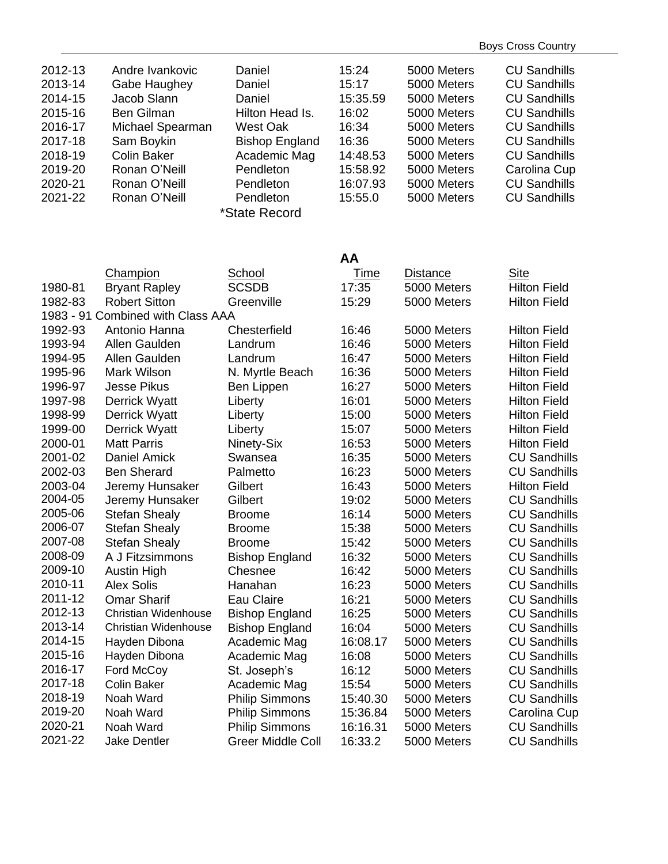| 2012-13<br>2013-14<br>2014-15<br>2015-16<br>2016-17<br>2017-18<br>2018-19<br>2019-20<br>2020-21<br>2021-22 | Andre Ivankovic<br>Gabe Haughey<br>Jacob Slann<br><b>Ben Gilman</b><br>Michael Spearman<br>Sam Boykin<br><b>Colin Baker</b><br>Ronan O'Neill<br>Ronan O'Neill<br>Ronan O'Neill | Daniel<br>Daniel<br>Daniel<br>Hilton Head Is.<br><b>West Oak</b><br><b>Bishop England</b><br>Academic Mag<br>Pendleton<br>Pendleton<br>Pendleton<br>*State Record | 15:24<br>15:17<br>15:35.59<br>16:02<br>16:34<br>16:36<br>14:48.53<br>15:58.92<br>16:07.93<br>15:55.0 | 5000 Meters<br>5000 Meters<br>5000 Meters<br>5000 Meters<br>5000 Meters<br>5000 Meters<br>5000 Meters<br>5000 Meters<br>5000 Meters<br>5000 Meters | <b>CU Sandhills</b><br><b>CU Sandhills</b><br><b>CU Sandhills</b><br><b>CU Sandhills</b><br><b>CU Sandhills</b><br><b>CU Sandhills</b><br><b>CU Sandhills</b><br>Carolina Cup<br><b>CU Sandhills</b><br><b>CU Sandhills</b> |
|------------------------------------------------------------------------------------------------------------|--------------------------------------------------------------------------------------------------------------------------------------------------------------------------------|-------------------------------------------------------------------------------------------------------------------------------------------------------------------|------------------------------------------------------------------------------------------------------|----------------------------------------------------------------------------------------------------------------------------------------------------|-----------------------------------------------------------------------------------------------------------------------------------------------------------------------------------------------------------------------------|
|                                                                                                            |                                                                                                                                                                                |                                                                                                                                                                   | AA                                                                                                   |                                                                                                                                                    |                                                                                                                                                                                                                             |
|                                                                                                            | <b>Champion</b>                                                                                                                                                                | School                                                                                                                                                            | Time                                                                                                 | <b>Distance</b>                                                                                                                                    | <b>Site</b>                                                                                                                                                                                                                 |
| 1980-81                                                                                                    | <b>Bryant Rapley</b>                                                                                                                                                           | <b>SCSDB</b>                                                                                                                                                      | 17:35                                                                                                | 5000 Meters                                                                                                                                        | <b>Hilton Field</b>                                                                                                                                                                                                         |
| 1982-83                                                                                                    | <b>Robert Sitton</b>                                                                                                                                                           | Greenville                                                                                                                                                        | 15:29                                                                                                | 5000 Meters                                                                                                                                        | <b>Hilton Field</b>                                                                                                                                                                                                         |
|                                                                                                            | 1983 - 91 Combined with Class AAA                                                                                                                                              |                                                                                                                                                                   |                                                                                                      |                                                                                                                                                    |                                                                                                                                                                                                                             |
| 1992-93                                                                                                    | Antonio Hanna                                                                                                                                                                  | Chesterfield                                                                                                                                                      | 16:46                                                                                                | 5000 Meters                                                                                                                                        | <b>Hilton Field</b>                                                                                                                                                                                                         |
| 1993-94                                                                                                    | Allen Gaulden                                                                                                                                                                  | Landrum                                                                                                                                                           | 16:46                                                                                                | 5000 Meters                                                                                                                                        | <b>Hilton Field</b>                                                                                                                                                                                                         |
| 1994-95                                                                                                    | Allen Gaulden                                                                                                                                                                  | Landrum                                                                                                                                                           | 16:47                                                                                                | 5000 Meters                                                                                                                                        | <b>Hilton Field</b>                                                                                                                                                                                                         |
| 1995-96                                                                                                    | Mark Wilson                                                                                                                                                                    | N. Myrtle Beach                                                                                                                                                   | 16:36                                                                                                | 5000 Meters                                                                                                                                        | <b>Hilton Field</b>                                                                                                                                                                                                         |
| 1996-97                                                                                                    | <b>Jesse Pikus</b>                                                                                                                                                             | Ben Lippen                                                                                                                                                        | 16:27                                                                                                | 5000 Meters                                                                                                                                        | <b>Hilton Field</b>                                                                                                                                                                                                         |
| 1997-98                                                                                                    | <b>Derrick Wyatt</b>                                                                                                                                                           | Liberty                                                                                                                                                           | 16:01                                                                                                | 5000 Meters                                                                                                                                        | <b>Hilton Field</b>                                                                                                                                                                                                         |
| 1998-99                                                                                                    | <b>Derrick Wyatt</b>                                                                                                                                                           | Liberty                                                                                                                                                           | 15:00                                                                                                | 5000 Meters                                                                                                                                        | <b>Hilton Field</b>                                                                                                                                                                                                         |
| 1999-00                                                                                                    | <b>Derrick Wyatt</b>                                                                                                                                                           | Liberty                                                                                                                                                           | 15:07                                                                                                | 5000 Meters                                                                                                                                        | <b>Hilton Field</b>                                                                                                                                                                                                         |
| 2000-01                                                                                                    | <b>Matt Parris</b>                                                                                                                                                             | Ninety-Six                                                                                                                                                        | 16:53                                                                                                | 5000 Meters                                                                                                                                        | <b>Hilton Field</b>                                                                                                                                                                                                         |
| 2001-02                                                                                                    | Daniel Amick                                                                                                                                                                   | Swansea                                                                                                                                                           | 16:35                                                                                                | 5000 Meters                                                                                                                                        | <b>CU Sandhills</b>                                                                                                                                                                                                         |
| 2002-03                                                                                                    | <b>Ben Sherard</b>                                                                                                                                                             | Palmetto                                                                                                                                                          | 16:23                                                                                                | 5000 Meters                                                                                                                                        | <b>CU Sandhills</b>                                                                                                                                                                                                         |
| 2003-04                                                                                                    | Jeremy Hunsaker                                                                                                                                                                | Gilbert                                                                                                                                                           | 16:43                                                                                                | 5000 Meters                                                                                                                                        | <b>Hilton Field</b>                                                                                                                                                                                                         |
| 2004-05                                                                                                    | Jeremy Hunsaker                                                                                                                                                                | Gilbert                                                                                                                                                           | 19:02                                                                                                | 5000 Meters                                                                                                                                        | <b>CU Sandhills</b>                                                                                                                                                                                                         |
| 2005-06                                                                                                    | <b>Stefan Shealy</b>                                                                                                                                                           | <b>Broome</b>                                                                                                                                                     | 16:14                                                                                                | 5000 Meters                                                                                                                                        | <b>CU Sandhills</b>                                                                                                                                                                                                         |
| 2006-07                                                                                                    | <b>Stefan Shealy</b>                                                                                                                                                           | Broome                                                                                                                                                            | 15:38                                                                                                | 5000 Meters                                                                                                                                        | <b>CU Sandhills</b>                                                                                                                                                                                                         |
| 2007-08                                                                                                    | Stefan Shealy                                                                                                                                                                  | <b>Broome</b>                                                                                                                                                     | 15:42                                                                                                | 5000 Meters                                                                                                                                        | <b>CU Sandhills</b>                                                                                                                                                                                                         |
| 2008-09                                                                                                    | A J Fitzsimmons                                                                                                                                                                | Bishop England                                                                                                                                                    | 16:32                                                                                                | 5000 Meters                                                                                                                                        | <b>CU Sandhills</b>                                                                                                                                                                                                         |
| 2009-10                                                                                                    | <b>Austin High</b>                                                                                                                                                             | Chesnee                                                                                                                                                           | 16:42                                                                                                | 5000 Meters                                                                                                                                        | <b>CU Sandhills</b>                                                                                                                                                                                                         |
| 2010-11                                                                                                    | <b>Alex Solis</b>                                                                                                                                                              | Hanahan                                                                                                                                                           | 16:23                                                                                                | 5000 Meters                                                                                                                                        | <b>CU Sandhills</b>                                                                                                                                                                                                         |
| 2011-12                                                                                                    | <b>Omar Sharif</b>                                                                                                                                                             | Eau Claire                                                                                                                                                        | 16:21                                                                                                | 5000 Meters                                                                                                                                        | <b>CU Sandhills</b>                                                                                                                                                                                                         |
| 2012-13                                                                                                    | Christian Widenhouse                                                                                                                                                           | <b>Bishop England</b>                                                                                                                                             | 16:25                                                                                                | 5000 Meters                                                                                                                                        | <b>CU Sandhills</b>                                                                                                                                                                                                         |
| 2013-14                                                                                                    | Christian Widenhouse                                                                                                                                                           | <b>Bishop England</b>                                                                                                                                             | 16:04                                                                                                | 5000 Meters                                                                                                                                        | <b>CU Sandhills</b>                                                                                                                                                                                                         |
| 2014-15                                                                                                    | Hayden Dibona                                                                                                                                                                  | Academic Mag                                                                                                                                                      | 16:08.17                                                                                             | 5000 Meters                                                                                                                                        | <b>CU Sandhills</b>                                                                                                                                                                                                         |
| 2015-16                                                                                                    | Hayden Dibona                                                                                                                                                                  | Academic Mag                                                                                                                                                      | 16:08                                                                                                | 5000 Meters                                                                                                                                        | <b>CU Sandhills</b>                                                                                                                                                                                                         |
| 2016-17                                                                                                    | Ford McCoy                                                                                                                                                                     | St. Joseph's                                                                                                                                                      | 16:12                                                                                                | 5000 Meters                                                                                                                                        | <b>CU Sandhills</b>                                                                                                                                                                                                         |
| 2017-18                                                                                                    | <b>Colin Baker</b>                                                                                                                                                             | Academic Mag                                                                                                                                                      | 15:54                                                                                                | 5000 Meters                                                                                                                                        | <b>CU Sandhills</b>                                                                                                                                                                                                         |
| 2018-19                                                                                                    | Noah Ward                                                                                                                                                                      | <b>Philip Simmons</b>                                                                                                                                             | 15:40.30                                                                                             | 5000 Meters                                                                                                                                        | <b>CU Sandhills</b>                                                                                                                                                                                                         |
| 2019-20                                                                                                    | Noah Ward                                                                                                                                                                      | <b>Philip Simmons</b>                                                                                                                                             | 15:36.84                                                                                             | 5000 Meters                                                                                                                                        | Carolina Cup                                                                                                                                                                                                                |
| 2020-21                                                                                                    | Noah Ward                                                                                                                                                                      | <b>Philip Simmons</b>                                                                                                                                             | 16:16.31                                                                                             | 5000 Meters                                                                                                                                        | <b>CU Sandhills</b>                                                                                                                                                                                                         |
| 2021-22                                                                                                    | Jake Dentler                                                                                                                                                                   | <b>Greer Middle Coll</b>                                                                                                                                          | 16:33.2                                                                                              | 5000 Meters                                                                                                                                        | <b>CU Sandhills</b>                                                                                                                                                                                                         |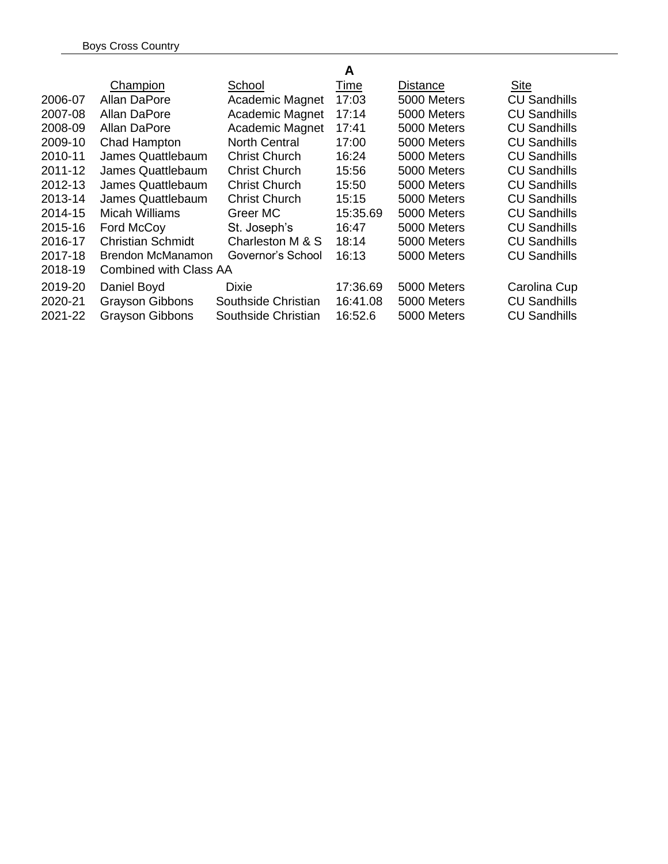|         |                               |                      | A           |             |                     |
|---------|-------------------------------|----------------------|-------------|-------------|---------------------|
|         | Champion                      | School               | <u>Time</u> | Distance    | <b>Site</b>         |
| 2006-07 | Allan DaPore                  | Academic Magnet      | 17:03       | 5000 Meters | <b>CU Sandhills</b> |
| 2007-08 | Allan DaPore                  | Academic Magnet      | 17:14       | 5000 Meters | <b>CU Sandhills</b> |
| 2008-09 | Allan DaPore                  | Academic Magnet      | 17:41       | 5000 Meters | <b>CU Sandhills</b> |
| 2009-10 | Chad Hampton                  | <b>North Central</b> | 17:00       | 5000 Meters | <b>CU Sandhills</b> |
| 2010-11 | James Quattlebaum             | <b>Christ Church</b> | 16:24       | 5000 Meters | <b>CU Sandhills</b> |
| 2011-12 | James Quattlebaum             | <b>Christ Church</b> | 15:56       | 5000 Meters | <b>CU Sandhills</b> |
| 2012-13 | James Quattlebaum             | <b>Christ Church</b> | 15:50       | 5000 Meters | <b>CU Sandhills</b> |
| 2013-14 | James Quattlebaum             | <b>Christ Church</b> | 15:15       | 5000 Meters | <b>CU Sandhills</b> |
| 2014-15 | <b>Micah Williams</b>         | Greer MC             | 15:35.69    | 5000 Meters | <b>CU Sandhills</b> |
| 2015-16 | Ford McCoy                    | St. Joseph's         | 16:47       | 5000 Meters | <b>CU Sandhills</b> |
| 2016-17 | <b>Christian Schmidt</b>      | Charleston M & S     | 18:14       | 5000 Meters | <b>CU Sandhills</b> |
| 2017-18 | Brendon McManamon             | Governor's School    | 16:13       | 5000 Meters | <b>CU Sandhills</b> |
| 2018-19 | <b>Combined with Class AA</b> |                      |             |             |                     |
| 2019-20 | Daniel Boyd                   | Dixie                | 17:36.69    | 5000 Meters | Carolina Cup        |
| 2020-21 | <b>Grayson Gibbons</b>        | Southside Christian  | 16:41.08    | 5000 Meters | <b>CU Sandhills</b> |
| 2021-22 | <b>Grayson Gibbons</b>        | Southside Christian  | 16:52.6     | 5000 Meters | <b>CU Sandhills</b> |